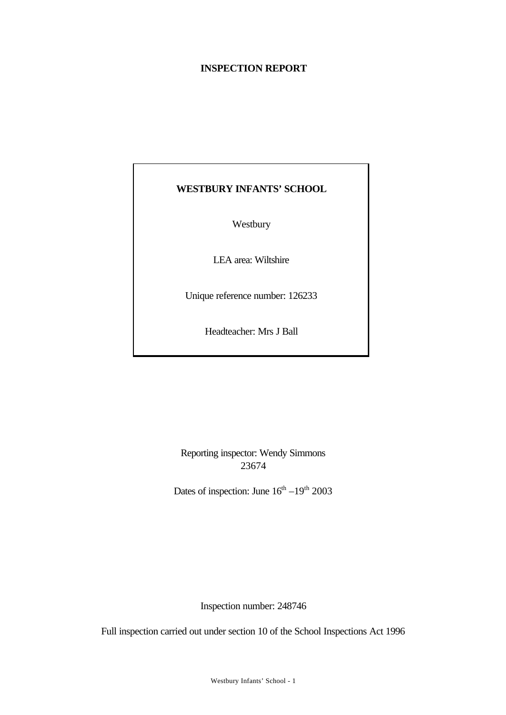# **INSPECTION REPORT**

# **WESTBURY INFANTS' SCHOOL**

Westbury

LEA area: Wiltshire

Unique reference number: 126233

Headteacher: Mrs J Ball

Reporting inspector: Wendy Simmons 23674

Dates of inspection: June  $16^{th} - 19^{th}$  2003

Inspection number: 248746

Full inspection carried out under section 10 of the School Inspections Act 1996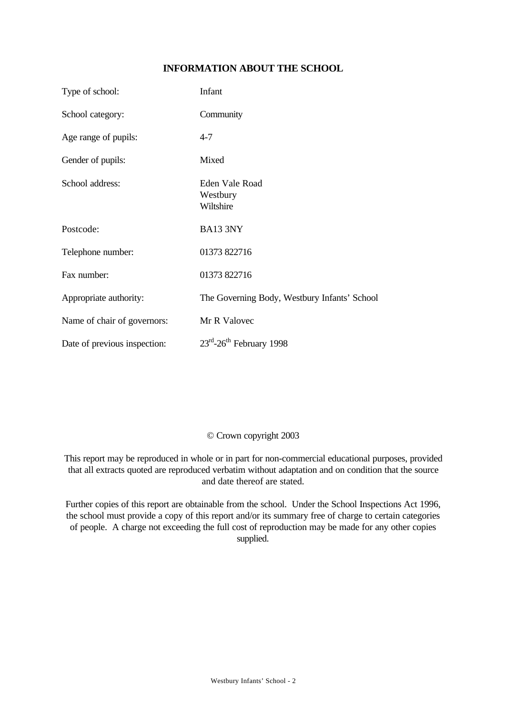# **INFORMATION ABOUT THE SCHOOL**

| Type of school:              | Infant                                       |
|------------------------------|----------------------------------------------|
| School category:             | Community                                    |
| Age range of pupils:         | $4 - 7$                                      |
| Gender of pupils:            | Mixed                                        |
| School address:              | Eden Vale Road<br>Westbury<br>Wiltshire      |
| Postcode:                    | BA13 3NY                                     |
| Telephone number:            | 01373 822716                                 |
| Fax number:                  | 01373 822716                                 |
| Appropriate authority:       | The Governing Body, Westbury Infants' School |
| Name of chair of governors:  | Mr R Valovec                                 |
| Date of previous inspection: | $23rd - 26th$ February 1998                  |

#### © Crown copyright 2003

This report may be reproduced in whole or in part for non-commercial educational purposes, provided that all extracts quoted are reproduced verbatim without adaptation and on condition that the source and date thereof are stated.

Further copies of this report are obtainable from the school. Under the School Inspections Act 1996, the school must provide a copy of this report and/or its summary free of charge to certain categories of people. A charge not exceeding the full cost of reproduction may be made for any other copies supplied.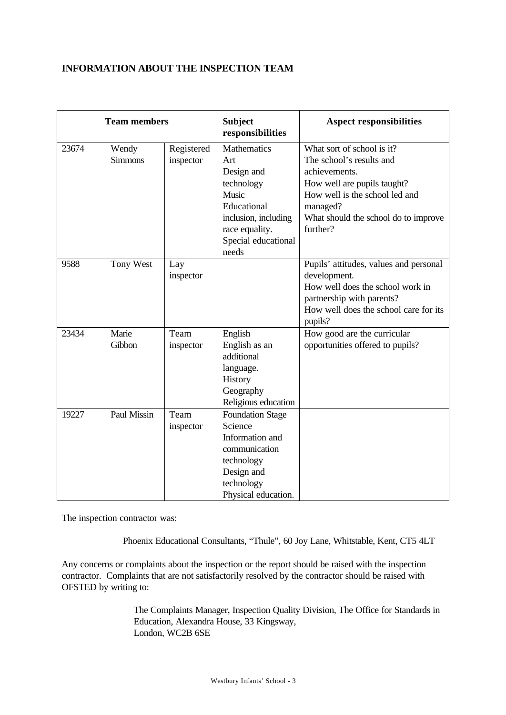# **INFORMATION ABOUT THE INSPECTION TEAM**

| <b>Team members</b> |                         | <b>Subject</b><br>responsibilities | <b>Aspect responsibilities</b>                                                                                                                          |                                                                                                                                                                                                          |
|---------------------|-------------------------|------------------------------------|---------------------------------------------------------------------------------------------------------------------------------------------------------|----------------------------------------------------------------------------------------------------------------------------------------------------------------------------------------------------------|
| 23674               | Wendy<br><b>Simmons</b> | Registered<br>inspector            | <b>Mathematics</b><br>Art<br>Design and<br>technology<br>Music<br>Educational<br>inclusion, including<br>race equality.<br>Special educational<br>needs | What sort of school is it?<br>The school's results and<br>achievements.<br>How well are pupils taught?<br>How well is the school led and<br>managed?<br>What should the school do to improve<br>further? |
| 9588                | Tony West               | Lay<br>inspector                   |                                                                                                                                                         | Pupils' attitudes, values and personal<br>development.<br>How well does the school work in<br>partnership with parents?<br>How well does the school care for its<br>pupils?                              |
| 23434               | Marie<br>Gibbon         | Team<br>inspector                  | English<br>English as an<br>additional<br>language.<br>History<br>Geography<br>Religious education                                                      | How good are the curricular<br>opportunities offered to pupils?                                                                                                                                          |
| 19227               | Paul Missin             | Team<br>inspector                  | <b>Foundation Stage</b><br>Science<br>Information and<br>communication<br>technology<br>Design and<br>technology<br>Physical education.                 |                                                                                                                                                                                                          |

The inspection contractor was:

Phoenix Educational Consultants, "Thule", 60 Joy Lane, Whitstable, Kent, CT5 4LT

Any concerns or complaints about the inspection or the report should be raised with the inspection contractor. Complaints that are not satisfactorily resolved by the contractor should be raised with OFSTED by writing to:

> The Complaints Manager, Inspection Quality Division, The Office for Standards in Education, Alexandra House, 33 Kingsway, London, WC2B 6SE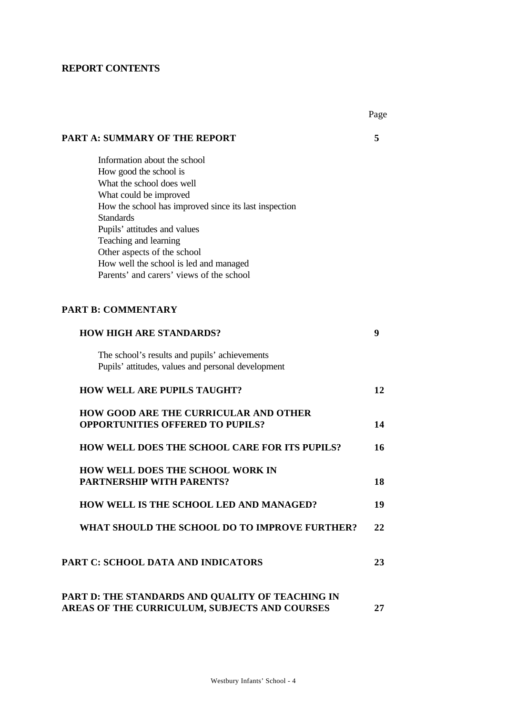# **REPORT CONTENTS**

|                                                       | Page |
|-------------------------------------------------------|------|
| <b>PART A: SUMMARY OF THE REPORT</b>                  | 5    |
| Information about the school                          |      |
| How good the school is                                |      |
| What the school does well                             |      |
| What could be improved                                |      |
| How the school has improved since its last inspection |      |
| <b>Standards</b>                                      |      |
| Pupils' attitudes and values                          |      |
| Teaching and learning<br>Other aspects of the school  |      |
| How well the school is led and managed                |      |
| Parents' and carers' views of the school              |      |
|                                                       |      |
| <b>PART B: COMMENTARY</b>                             |      |
| <b>HOW HIGH ARE STANDARDS?</b>                        | 9    |
| The school's results and pupils' achievements         |      |
| Pupils' attitudes, values and personal development    |      |
| <b>HOW WELL ARE PUPILS TAUGHT?</b>                    | 12   |
| <b>HOW GOOD ARE THE CURRICULAR AND OTHER</b>          |      |
| <b>OPPORTUNITIES OFFERED TO PUPILS?</b>               | 14   |
| <b>HOW WELL DOES THE SCHOOL CARE FOR ITS PUPILS?</b>  | 16   |
| <b>HOW WELL DOES THE SCHOOL WORK IN</b>               |      |
| <b>PARTNERSHIP WITH PARENTS?</b>                      | 18   |
| HOW WELL IS THE SCHOOL LED AND MANAGED?               | 19   |
| WHAT SHOULD THE SCHOOL DO TO IMPROVE FURTHER?         | 22   |
| <b>PART C: SCHOOL DATA AND INDICATORS</b>             | 23   |
| PART D: THE STANDARDS AND QUALITY OF TEACHING IN      |      |
| AREAS OF THE CURRICULUM, SUBJECTS AND COURSES         | 27   |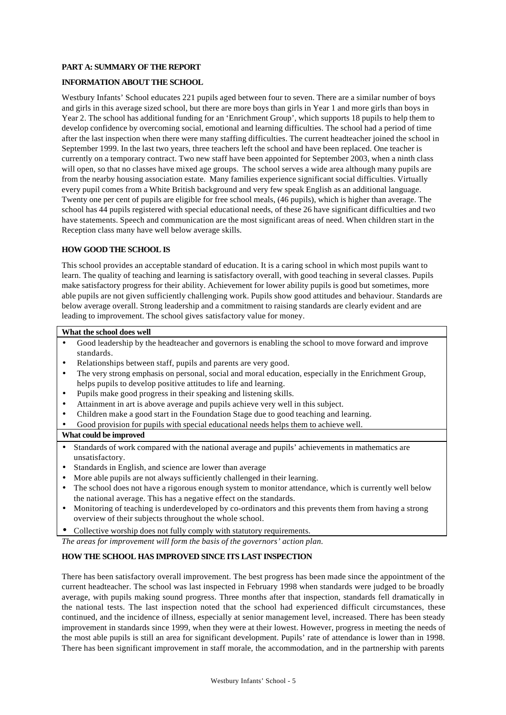#### **PART A: SUMMARY OF THE REPORT**

#### **INFORMATION ABOUT THE SCHOOL**

Westbury Infants' School educates 221 pupils aged between four to seven. There are a similar number of boys and girls in this average sized school, but there are more boys than girls in Year 1 and more girls than boys in Year 2. The school has additional funding for an 'Enrichment Group', which supports 18 pupils to help them to develop confidence by overcoming social, emotional and learning difficulties. The school had a period of time after the last inspection when there were many staffing difficulties. The current headteacher joined the school in September 1999. In the last two years, three teachers left the school and have been replaced. One teacher is currently on a temporary contract. Two new staff have been appointed for September 2003, when a ninth class will open, so that no classes have mixed age groups. The school serves a wide area although many pupils are from the nearby housing association estate. Many families experience significant social difficulties. Virtually every pupil comes from a White British background and very few speak English as an additional language. Twenty one per cent of pupils are eligible for free school meals, (46 pupils), which is higher than average. The school has 44 pupils registered with special educational needs, of these 26 have significant difficulties and two have statements. Speech and communication are the most significant areas of need. When children start in the Reception class many have well below average skills.

#### **HOW GOOD THE SCHOOL IS**

This school provides an acceptable standard of education. It is a caring school in which most pupils want to learn. The quality of teaching and learning is satisfactory overall, with good teaching in several classes. Pupils make satisfactory progress for their ability. Achievement for lower ability pupils is good but sometimes, more able pupils are not given sufficiently challenging work. Pupils show good attitudes and behaviour. Standards are below average overall. Strong leadership and a commitment to raising standards are clearly evident and are leading to improvement. The school gives satisfactory value for money.

#### **What the school does well**

- Good leadership by the headteacher and governors is enabling the school to move forward and improve standards.
- Relationships between staff, pupils and parents are very good.
- The very strong emphasis on personal, social and moral education, especially in the Enrichment Group, helps pupils to develop positive attitudes to life and learning.
- Pupils make good progress in their speaking and listening skills.
- Attainment in art is above average and pupils achieve very well in this subject.
- Children make a good start in the Foundation Stage due to good teaching and learning.
- Good provision for pupils with special educational needs helps them to achieve well.

#### **What could be improved**

- Standards of work compared with the national average and pupils' achievements in mathematics are unsatisfactory.
- Standards in English, and science are lower than average
- More able pupils are not always sufficiently challenged in their learning.
- The school does not have a rigorous enough system to monitor attendance, which is currently well below the national average. This has a negative effect on the standards.
- Monitoring of teaching is underdeveloped by co-ordinators and this prevents them from having a strong overview of their subjects throughout the whole school.
- Collective worship does not fully comply with statutory requirements.

*The areas for improvement will form the basis of the governors' action plan.*

#### **HOW THE SCHOOL HAS IMPROVED SINCE ITS LAST INSPECTION**

There has been satisfactory overall improvement. The best progress has been made since the appointment of the current headteacher. The school was last inspected in February 1998 when standards were judged to be broadly average, with pupils making sound progress. Three months after that inspection, standards fell dramatically in the national tests. The last inspection noted that the school had experienced difficult circumstances, these continued, and the incidence of illness, especially at senior management level, increased. There has been steady improvement in standards since 1999, when they were at their lowest. However, progress in meeting the needs of the most able pupils is still an area for significant development. Pupils' rate of attendance is lower than in 1998. There has been significant improvement in staff morale, the accommodation, and in the partnership with parents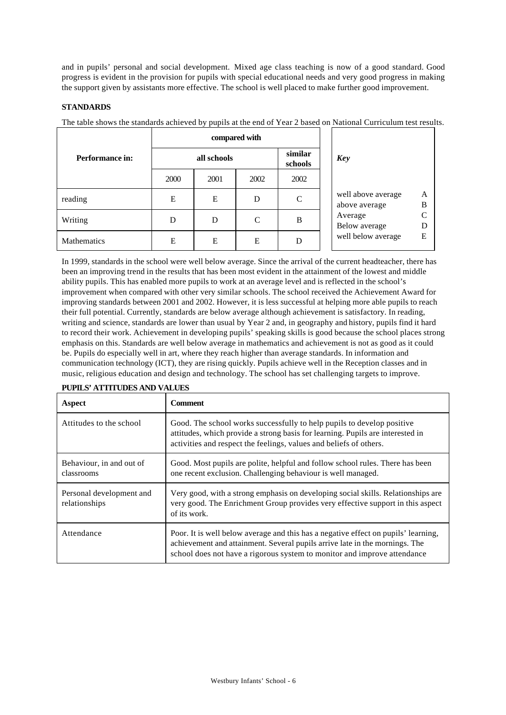and in pupils' personal and social development. Mixed age class teaching is now of a good standard. Good progress is evident in the provision for pupils with special educational needs and very good progress in making the support given by assistants more effective. The school is well placed to make further good improvement.

#### **STANDARDS**

The table shows the standards achieved by pupils at the end of Year 2 based on National Curriculum test results.

|                    | compared with |      |      |                    |                                               |
|--------------------|---------------|------|------|--------------------|-----------------------------------------------|
| Performance in:    | all schools   |      |      | similar<br>schools | Key                                           |
|                    | 2000          | 2001 | 2002 | 2002               |                                               |
| reading            | Е             | E    | D    | C                  | well above average<br>A<br>B<br>above average |
| Writing            | D             | D    | C    | B                  | $\subset$<br>Average<br>Below average<br>D    |
| <b>Mathematics</b> | Е             | E    | E    | D                  | well below average<br>E                       |

In 1999, standards in the school were well below average. Since the arrival of the current headteacher, there has been an improving trend in the results that has been most evident in the attainment of the lowest and middle ability pupils. This has enabled more pupils to work at an average level and is reflected in the school's improvement when compared with other very similar schools. The school received the Achievement Award for improving standards between 2001 and 2002. However, it is less successful at helping more able pupils to reach their full potential. Currently, standards are below average although achievement is satisfactory. In reading, writing and science, standards are lower than usual by Year 2 and, in geography and history, pupils find it hard to record their work. Achievement in developing pupils' speaking skills is good because the school places strong emphasis on this. Standards are well below average in mathematics and achievement is not as good as it could be. Pupils do especially well in art, where they reach higher than average standards. In information and communication technology (ICT), they are rising quickly. Pupils achieve well in the Reception classes and in music, religious education and design and technology. The school has set challenging targets to improve.

| Aspect                                    | <b>Comment</b>                                                                                                                                                                                                                                |
|-------------------------------------------|-----------------------------------------------------------------------------------------------------------------------------------------------------------------------------------------------------------------------------------------------|
| Attitudes to the school                   | Good. The school works successfully to help pupils to develop positive<br>attitudes, which provide a strong basis for learning. Pupils are interested in<br>activities and respect the feelings, values and beliefs of others.                |
| Behaviour, in and out of<br>classrooms    | Good. Most pupils are polite, helpful and follow school rules. There has been<br>one recent exclusion. Challenging behaviour is well managed.                                                                                                 |
| Personal development and<br>relationships | Very good, with a strong emphasis on developing social skills. Relationships are<br>very good. The Enrichment Group provides very effective support in this aspect<br>of its work.                                                            |
| Attendance                                | Poor. It is well below average and this has a negative effect on pupils' learning,<br>achievement and attainment. Several pupils arrive late in the mornings. The<br>school does not have a rigorous system to monitor and improve attendance |

#### **PUPILS' ATTITUDES AND VALUES**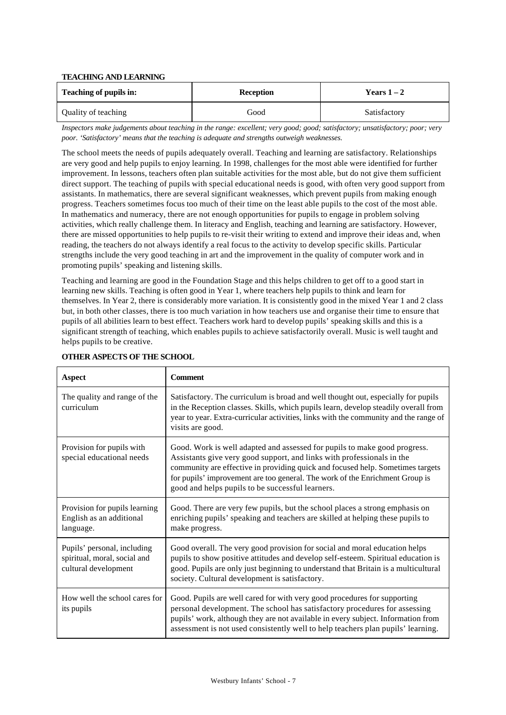#### **TEACHING AND LEARNING**

| Teaching of pupils in: | <b>Reception</b> | Years $1-2$  |
|------------------------|------------------|--------------|
| Quality of teaching    | Good             | Satisfactory |

*Inspectors make judgements about teaching in the range: excellent; very good; good; satisfactory; unsatisfactory; poor; very poor. 'Satisfactory' means that the teaching is adequate and strengths outweigh weaknesses.*

The school meets the needs of pupils adequately overall. Teaching and learning are satisfactory. Relationships are very good and help pupils to enjoy learning. In 1998, challenges for the most able were identified for further improvement. In lessons, teachers often plan suitable activities for the most able, but do not give them sufficient direct support. The teaching of pupils with special educational needs is good, with often very good support from assistants. In mathematics, there are several significant weaknesses, which prevent pupils from making enough progress. Teachers sometimes focus too much of their time on the least able pupils to the cost of the most able. In mathematics and numeracy, there are not enough opportunities for pupils to engage in problem solving activities, which really challenge them. In literacy and English, teaching and learning are satisfactory. However, there are missed opportunities to help pupils to re-visit their writing to extend and improve their ideas and, when reading, the teachers do not always identify a real focus to the activity to develop specific skills. Particular strengths include the very good teaching in art and the improvement in the quality of computer work and in promoting pupils' speaking and listening skills.

Teaching and learning are good in the Foundation Stage and this helps children to get off to a good start in learning new skills. Teaching is often good in Year 1, where teachers help pupils to think and learn for themselves. In Year 2, there is considerably more variation. It is consistently good in the mixed Year 1 and 2 class but, in both other classes, there is too much variation in how teachers use and organise their time to ensure that pupils of all abilities learn to best effect. Teachers work hard to develop pupils' speaking skills and this is a significant strength of teaching, which enables pupils to achieve satisfactorily overall. Music is well taught and helps pupils to be creative.

| Aspect                                                                              | <b>Comment</b>                                                                                                                                                                                                                                                                                                                                                            |
|-------------------------------------------------------------------------------------|---------------------------------------------------------------------------------------------------------------------------------------------------------------------------------------------------------------------------------------------------------------------------------------------------------------------------------------------------------------------------|
| The quality and range of the<br>curriculum                                          | Satisfactory. The curriculum is broad and well thought out, especially for pupils<br>in the Reception classes. Skills, which pupils learn, develop steadily overall from<br>year to year. Extra-curricular activities, links with the community and the range of<br>visits are good.                                                                                      |
| Provision for pupils with<br>special educational needs                              | Good. Work is well adapted and assessed for pupils to make good progress.<br>Assistants give very good support, and links with professionals in the<br>community are effective in providing quick and focused help. Sometimes targets<br>for pupils' improvement are too general. The work of the Enrichment Group is<br>good and helps pupils to be successful learners. |
| Provision for pupils learning<br>English as an additional<br>language.              | Good. There are very few pupils, but the school places a strong emphasis on<br>enriching pupils' speaking and teachers are skilled at helping these pupils to<br>make progress.                                                                                                                                                                                           |
| Pupils' personal, including<br>spiritual, moral, social and<br>cultural development | Good overall. The very good provision for social and moral education helps<br>pupils to show positive attitudes and develop self-esteem. Spiritual education is<br>good. Pupils are only just beginning to understand that Britain is a multicultural<br>society. Cultural development is satisfactory.                                                                   |
| How well the school cares for<br>its pupils                                         | Good. Pupils are well cared for with very good procedures for supporting<br>personal development. The school has satisfactory procedures for assessing<br>pupils' work, although they are not available in every subject. Information from<br>assessment is not used consistently well to help teachers plan pupils' learning.                                            |

#### **OTHER ASPECTS OF THE SCHOOL**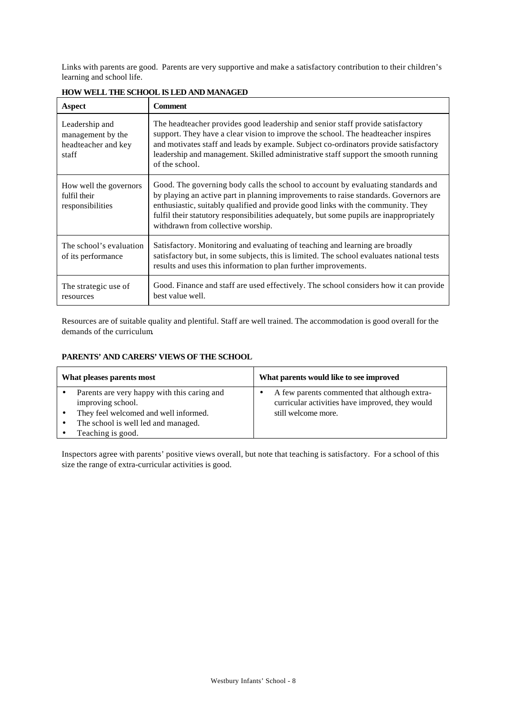Links with parents are good. Parents are very supportive and make a satisfactory contribution to their children's learning and school life.

| Aspect                                                              | <b>Comment</b>                                                                                                                                                                                                                                                                                                                                                                                |
|---------------------------------------------------------------------|-----------------------------------------------------------------------------------------------------------------------------------------------------------------------------------------------------------------------------------------------------------------------------------------------------------------------------------------------------------------------------------------------|
| Leadership and<br>management by the<br>headteacher and key<br>staff | The headteacher provides good leadership and senior staff provide satisfactory<br>support. They have a clear vision to improve the school. The headteacher inspires<br>and motivates staff and leads by example. Subject co-ordinators provide satisfactory<br>leadership and management. Skilled administrative staff support the smooth running<br>of the school.                           |
| How well the governors<br>fulfil their<br>responsibilities          | Good. The governing body calls the school to account by evaluating standards and<br>by playing an active part in planning improvements to raise standards. Governors are<br>enthusiastic, suitably qualified and provide good links with the community. They<br>fulfil their statutory responsibilities adequately, but some pupils are inappropriately<br>withdrawn from collective worship. |
| The school's evaluation<br>of its performance                       | Satisfactory. Monitoring and evaluating of teaching and learning are broadly<br>satisfactory but, in some subjects, this is limited. The school evaluates national tests<br>results and uses this information to plan further improvements.                                                                                                                                                   |
| The strategic use of<br>resources                                   | Good. Finance and staff are used effectively. The school considers how it can provide<br>best value well.                                                                                                                                                                                                                                                                                     |

#### **HOW WELL THE SCHOOL IS LED AND MANAGED**

Resources are of suitable quality and plentiful. Staff are well trained. The accommodation is good overall for the demands of the curriculum.

#### **PARENTS' AND CARERS' VIEWS OF THE SCHOOL**

| What pleases parents most                                                                                                                                                          | What parents would like to see improved                                                                                |
|------------------------------------------------------------------------------------------------------------------------------------------------------------------------------------|------------------------------------------------------------------------------------------------------------------------|
| Parents are very happy with this caring and<br>improving school.<br>They feel welcomed and well informed.<br>$\bullet$<br>The school is well led and managed.<br>Teaching is good. | A few parents commented that although extra-<br>curricular activities have improved, they would<br>still welcome more. |

Inspectors agree with parents' positive views overall, but note that teaching is satisfactory. For a school of this size the range of extra-curricular activities is good.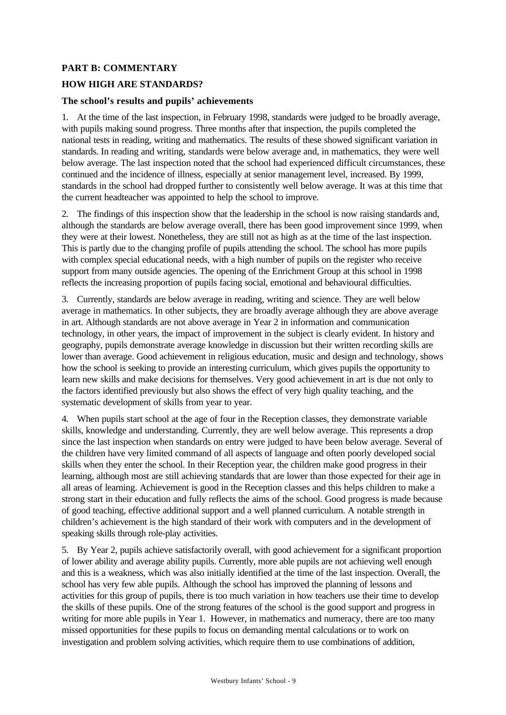## **PART B: COMMENTARY**

#### **HOW HIGH ARE STANDARDS?**

#### **The school's results and pupils' achievements**

1. At the time of the last inspection, in February 1998, standards were judged to be broadly average, with pupils making sound progress. Three months after that inspection, the pupils completed the national tests in reading, writing and mathematics. The results of these showed significant variation in standards. In reading and writing, standards were below average and, in mathematics, they were well below average. The last inspection noted that the school had experienced difficult circumstances, these continued and the incidence of illness, especially at senior management level, increased. By 1999, standards in the school had dropped further to consistently well below average. It was at this time that the current headteacher was appointed to help the school to improve.

2. The findings of this inspection show that the leadership in the school is now raising standards and, although the standards are below average overall, there has been good improvement since 1999, when they were at their lowest. Nonetheless, they are still not as high as at the time of the last inspection. This is partly due to the changing profile of pupils attending the school. The school has more pupils with complex special educational needs, with a high number of pupils on the register who receive support from many outside agencies. The opening of the Enrichment Group at this school in 1998 reflects the increasing proportion of pupils facing social, emotional and behavioural difficulties.

3. Currently, standards are below average in reading, writing and science. They are well below average in mathematics. In other subjects, they are broadly average although they are above average in art. Although standards are not above average in Year 2 in information and communication technology, in other years, the impact of improvement in the subject is clearly evident. In history and geography, pupils demonstrate average knowledge in discussion but their written recording skills are lower than average. Good achievement in religious education, music and design and technology, shows how the school is seeking to provide an interesting curriculum, which gives pupils the opportunity to learn new skills and make decisions for themselves. Very good achievement in art is due not only to the factors identified previously but also shows the effect of very high quality teaching, and the systematic development of skills from year to year.

4. When pupils start school at the age of four in the Reception classes, they demonstrate variable skills, knowledge and understanding. Currently, they are well below average. This represents a drop since the last inspection when standards on entry were judged to have been below average. Several of the children have very limited command of all aspects of language and often poorly developed social skills when they enter the school. In their Reception year, the children make good progress in their learning, although most are still achieving standards that are lower than those expected for their age in all areas of learning. Achievement is good in the Reception classes and this helps children to make a strong start in their education and fully reflects the aims of the school. Good progress is made because of good teaching, effective additional support and a well planned curriculum. A notable strength in children's achievement is the high standard of their work with computers and in the development of speaking skills through role-play activities.

5. By Year 2, pupils achieve satisfactorily overall, with good achievement for a significant proportion of lower ability and average ability pupils. Currently, more able pupils are not achieving well enough and this is a weakness, which was also initially identified at the time of the last inspection. Overall, the school has very few able pupils. Although the school has improved the planning of lessons and activities for this group of pupils, there is too much variation in how teachers use their time to develop the skills of these pupils. One of the strong features of the school is the good support and progress in writing for more able pupils in Year 1. However, in mathematics and numeracy, there are too many missed opportunities for these pupils to focus on demanding mental calculations or to work on investigation and problem solving activities, which require them to use combinations of addition,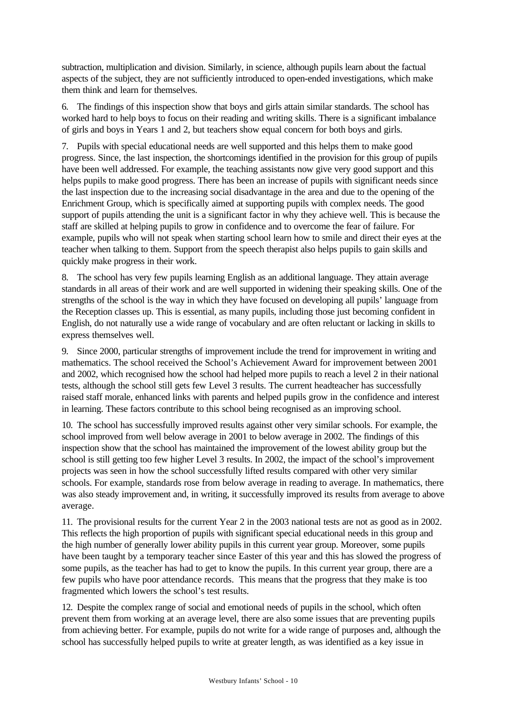subtraction, multiplication and division. Similarly, in science, although pupils learn about the factual aspects of the subject, they are not sufficiently introduced to open-ended investigations, which make them think and learn for themselves.

6. The findings of this inspection show that boys and girls attain similar standards. The school has worked hard to help boys to focus on their reading and writing skills. There is a significant imbalance of girls and boys in Years 1 and 2, but teachers show equal concern for both boys and girls.

7. Pupils with special educational needs are well supported and this helps them to make good progress. Since, the last inspection, the shortcomings identified in the provision for this group of pupils have been well addressed. For example, the teaching assistants now give very good support and this helps pupils to make good progress. There has been an increase of pupils with significant needs since the last inspection due to the increasing social disadvantage in the area and due to the opening of the Enrichment Group, which is specifically aimed at supporting pupils with complex needs. The good support of pupils attending the unit is a significant factor in why they achieve well. This is because the staff are skilled at helping pupils to grow in confidence and to overcome the fear of failure. For example, pupils who will not speak when starting school learn how to smile and direct their eyes at the teacher when talking to them. Support from the speech therapist also helps pupils to gain skills and quickly make progress in their work.

8. The school has very few pupils learning English as an additional language. They attain average standards in all areas of their work and are well supported in widening their speaking skills. One of the strengths of the school is the way in which they have focused on developing all pupils' language from the Reception classes up. This is essential, as many pupils, including those just becoming confident in English, do not naturally use a wide range of vocabulary and are often reluctant or lacking in skills to express themselves well.

9. Since 2000, particular strengths of improvement include the trend for improvement in writing and mathematics. The school received the School's Achievement Award for improvement between 2001 and 2002, which recognised how the school had helped more pupils to reach a level 2 in their national tests, although the school still gets few Level 3 results. The current headteacher has successfully raised staff morale, enhanced links with parents and helped pupils grow in the confidence and interest in learning. These factors contribute to this school being recognised as an improving school.

10. The school has successfully improved results against other very similar schools. For example, the school improved from well below average in 2001 to below average in 2002. The findings of this inspection show that the school has maintained the improvement of the lowest ability group but the school is still getting too few higher Level 3 results. In 2002, the impact of the school's improvement projects was seen in how the school successfully lifted results compared with other very similar schools. For example, standards rose from below average in reading to average. In mathematics, there was also steady improvement and, in writing, it successfully improved its results from average to above average.

11. The provisional results for the current Year 2 in the 2003 national tests are not as good as in 2002. This reflects the high proportion of pupils with significant special educational needs in this group and the high number of generally lower ability pupils in this current year group. Moreover, some pupils have been taught by a temporary teacher since Easter of this year and this has slowed the progress of some pupils, as the teacher has had to get to know the pupils. In this current year group, there are a few pupils who have poor attendance records. This means that the progress that they make is too fragmented which lowers the school's test results.

12. Despite the complex range of social and emotional needs of pupils in the school, which often prevent them from working at an average level, there are also some issues that are preventing pupils from achieving better. For example, pupils do not write for a wide range of purposes and, although the school has successfully helped pupils to write at greater length, as was identified as a key issue in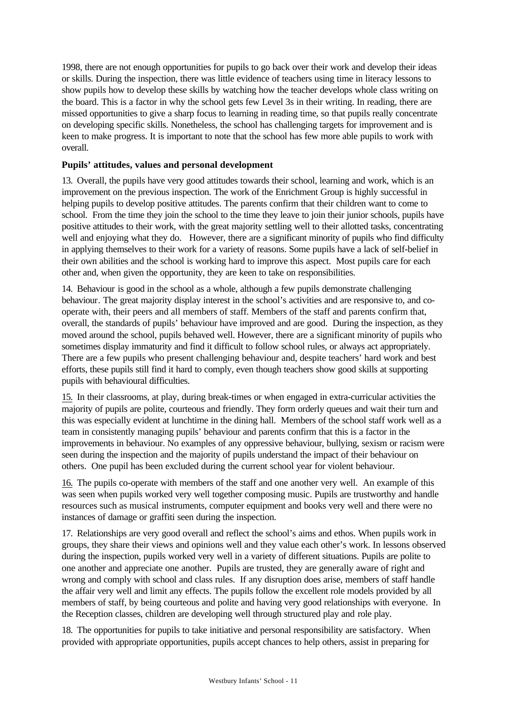1998, there are not enough opportunities for pupils to go back over their work and develop their ideas or skills. During the inspection, there was little evidence of teachers using time in literacy lessons to show pupils how to develop these skills by watching how the teacher develops whole class writing on the board. This is a factor in why the school gets few Level 3s in their writing. In reading, there are missed opportunities to give a sharp focus to learning in reading time, so that pupils really concentrate on developing specific skills. Nonetheless, the school has challenging targets for improvement and is keen to make progress. It is important to note that the school has few more able pupils to work with overall.

#### **Pupils' attitudes, values and personal development**

13. Overall, the pupils have very good attitudes towards their school, learning and work, which is an improvement on the previous inspection. The work of the Enrichment Group is highly successful in helping pupils to develop positive attitudes. The parents confirm that their children want to come to school. From the time they join the school to the time they leave to join their junior schools, pupils have positive attitudes to their work, with the great majority settling well to their allotted tasks, concentrating well and enjoying what they do. However, there are a significant minority of pupils who find difficulty in applying themselves to their work for a variety of reasons. Some pupils have a lack of self-belief in their own abilities and the school is working hard to improve this aspect. Most pupils care for each other and, when given the opportunity, they are keen to take on responsibilities.

14. Behaviour is good in the school as a whole, although a few pupils demonstrate challenging behaviour. The great majority display interest in the school's activities and are responsive to, and cooperate with, their peers and all members of staff. Members of the staff and parents confirm that, overall, the standards of pupils' behaviour have improved and are good. During the inspection, as they moved around the school, pupils behaved well. However, there are a significant minority of pupils who sometimes display immaturity and find it difficult to follow school rules, or always act appropriately. There are a few pupils who present challenging behaviour and, despite teachers' hard work and best efforts, these pupils still find it hard to comply, even though teachers show good skills at supporting pupils with behavioural difficulties.

15. In their classrooms, at play, during break-times or when engaged in extra-curricular activities the majority of pupils are polite, courteous and friendly. They form orderly queues and wait their turn and this was especially evident at lunchtime in the dining hall. Members of the school staff work well as a team in consistently managing pupils' behaviour and parents confirm that this is a factor in the improvements in behaviour. No examples of any oppressive behaviour, bullying, sexism or racism were seen during the inspection and the majority of pupils understand the impact of their behaviour on others. One pupil has been excluded during the current school year for violent behaviour.

16. The pupils co-operate with members of the staff and one another very well. An example of this was seen when pupils worked very well together composing music. Pupils are trustworthy and handle resources such as musical instruments, computer equipment and books very well and there were no instances of damage or graffiti seen during the inspection.

17. Relationships are very good overall and reflect the school's aims and ethos. When pupils work in groups, they share their views and opinions well and they value each other's work. In lessons observed during the inspection, pupils worked very well in a variety of different situations. Pupils are polite to one another and appreciate one another. Pupils are trusted, they are generally aware of right and wrong and comply with school and class rules. If any disruption does arise, members of staff handle the affair very well and limit any effects. The pupils follow the excellent role models provided by all members of staff, by being courteous and polite and having very good relationships with everyone. In the Reception classes, children are developing well through structured play and role play.

18. The opportunities for pupils to take initiative and personal responsibility are satisfactory. When provided with appropriate opportunities, pupils accept chances to help others, assist in preparing for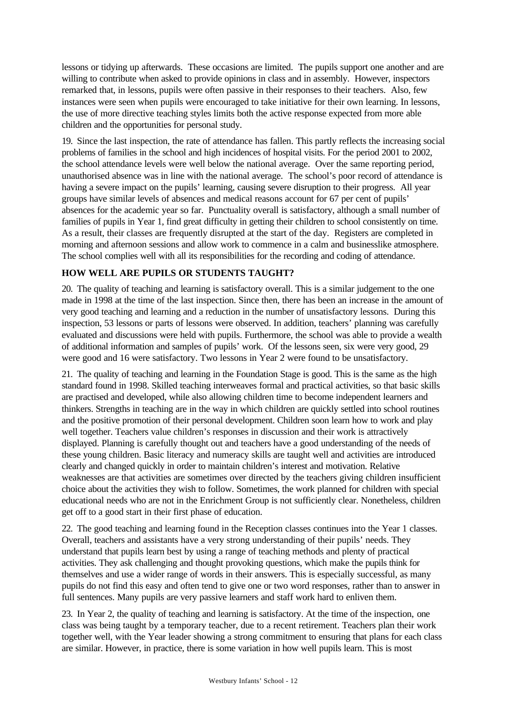lessons or tidying up afterwards. These occasions are limited. The pupils support one another and are willing to contribute when asked to provide opinions in class and in assembly. However, inspectors remarked that, in lessons, pupils were often passive in their responses to their teachers. Also, few instances were seen when pupils were encouraged to take initiative for their own learning. In lessons, the use of more directive teaching styles limits both the active response expected from more able children and the opportunities for personal study.

19. Since the last inspection, the rate of attendance has fallen. This partly reflects the increasing social problems of families in the school and high incidences of hospital visits. For the period 2001 to 2002, the school attendance levels were well below the national average. Over the same reporting period, unauthorised absence was in line with the national average. The school's poor record of attendance is having a severe impact on the pupils' learning, causing severe disruption to their progress. All year groups have similar levels of absences and medical reasons account for 67 per cent of pupils' absences for the academic year so far. Punctuality overall is satisfactory, although a small number of families of pupils in Year 1, find great difficulty in getting their children to school consistently on time. As a result, their classes are frequently disrupted at the start of the day. Registers are completed in morning and afternoon sessions and allow work to commence in a calm and businesslike atmosphere. The school complies well with all its responsibilities for the recording and coding of attendance.

# **HOW WELL ARE PUPILS OR STUDENTS TAUGHT?**

20. The quality of teaching and learning is satisfactory overall. This is a similar judgement to the one made in 1998 at the time of the last inspection. Since then, there has been an increase in the amount of very good teaching and learning and a reduction in the number of unsatisfactory lessons. During this inspection, 53 lessons or parts of lessons were observed. In addition, teachers' planning was carefully evaluated and discussions were held with pupils. Furthermore, the school was able to provide a wealth of additional information and samples of pupils' work. Of the lessons seen, six were very good, 29 were good and 16 were satisfactory. Two lessons in Year 2 were found to be unsatisfactory.

21. The quality of teaching and learning in the Foundation Stage is good. This is the same as the high standard found in 1998. Skilled teaching interweaves formal and practical activities, so that basic skills are practised and developed, while also allowing children time to become independent learners and thinkers. Strengths in teaching are in the way in which children are quickly settled into school routines and the positive promotion of their personal development. Children soon learn how to work and play well together. Teachers value children's responses in discussion and their work is attractively displayed. Planning is carefully thought out and teachers have a good understanding of the needs of these young children. Basic literacy and numeracy skills are taught well and activities are introduced clearly and changed quickly in order to maintain children's interest and motivation. Relative weaknesses are that activities are sometimes over directed by the teachers giving children insufficient choice about the activities they wish to follow. Sometimes, the work planned for children with special educational needs who are not in the Enrichment Group is not sufficiently clear. Nonetheless, children get off to a good start in their first phase of education.

22. The good teaching and learning found in the Reception classes continues into the Year 1 classes. Overall, teachers and assistants have a very strong understanding of their pupils' needs. They understand that pupils learn best by using a range of teaching methods and plenty of practical activities. They ask challenging and thought provoking questions, which make the pupils think for themselves and use a wider range of words in their answers. This is especially successful, as many pupils do not find this easy and often tend to give one or two word responses, rather than to answer in full sentences. Many pupils are very passive learners and staff work hard to enliven them.

23. In Year 2, the quality of teaching and learning is satisfactory. At the time of the inspection, one class was being taught by a temporary teacher, due to a recent retirement. Teachers plan their work together well, with the Year leader showing a strong commitment to ensuring that plans for each class are similar. However, in practice, there is some variation in how well pupils learn. This is most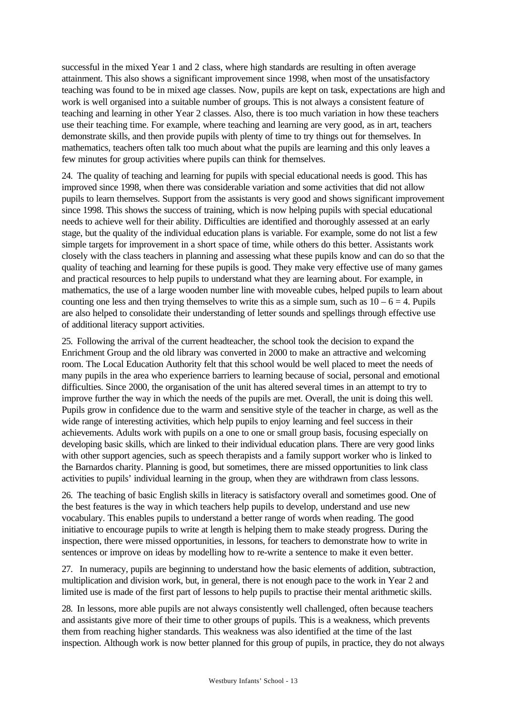successful in the mixed Year 1 and 2 class, where high standards are resulting in often average attainment. This also shows a significant improvement since 1998, when most of the unsatisfactory teaching was found to be in mixed age classes. Now, pupils are kept on task, expectations are high and work is well organised into a suitable number of groups. This is not always a consistent feature of teaching and learning in other Year 2 classes. Also, there is too much variation in how these teachers use their teaching time. For example, where teaching and learning are very good, as in art, teachers demonstrate skills, and then provide pupils with plenty of time to try things out for themselves. In mathematics, teachers often talk too much about what the pupils are learning and this only leaves a few minutes for group activities where pupils can think for themselves.

24. The quality of teaching and learning for pupils with special educational needs is good. This has improved since 1998, when there was considerable variation and some activities that did not allow pupils to learn themselves. Support from the assistants is very good and shows significant improvement since 1998. This shows the success of training, which is now helping pupils with special educational needs to achieve well for their ability. Difficulties are identified and thoroughly assessed at an early stage, but the quality of the individual education plans is variable. For example, some do not list a few simple targets for improvement in a short space of time, while others do this better. Assistants work closely with the class teachers in planning and assessing what these pupils know and can do so that the quality of teaching and learning for these pupils is good. They make very effective use of many games and practical resources to help pupils to understand what they are learning about. For example, in mathematics, the use of a large wooden number line with moveable cubes, helped pupils to learn about counting one less and then trying themselves to write this as a simple sum, such as  $10 - 6 = 4$ . Pupils are also helped to consolidate their understanding of letter sounds and spellings through effective use of additional literacy support activities.

25. Following the arrival of the current headteacher, the school took the decision to expand the Enrichment Group and the old library was converted in 2000 to make an attractive and welcoming room. The Local Education Authority felt that this school would be well placed to meet the needs of many pupils in the area who experience barriers to learning because of social, personal and emotional difficulties. Since 2000, the organisation of the unit has altered several times in an attempt to try to improve further the way in which the needs of the pupils are met. Overall, the unit is doing this well. Pupils grow in confidence due to the warm and sensitive style of the teacher in charge, as well as the wide range of interesting activities, which help pupils to enjoy learning and feel success in their achievements. Adults work with pupils on a one to one or small group basis, focusing especially on developing basic skills, which are linked to their individual education plans. There are very good links with other support agencies, such as speech therapists and a family support worker who is linked to the Barnardos charity. Planning is good, but sometimes, there are missed opportunities to link class activities to pupils' individual learning in the group, when they are withdrawn from class lessons.

26. The teaching of basic English skills in literacy is satisfactory overall and sometimes good. One of the best features is the way in which teachers help pupils to develop, understand and use new vocabulary. This enables pupils to understand a better range of words when reading. The good initiative to encourage pupils to write at length is helping them to make steady progress. During the inspection, there were missed opportunities, in lessons, for teachers to demonstrate how to write in sentences or improve on ideas by modelling how to re-write a sentence to make it even better.

27. In numeracy, pupils are beginning to understand how the basic elements of addition, subtraction, multiplication and division work, but, in general, there is not enough pace to the work in Year 2 and limited use is made of the first part of lessons to help pupils to practise their mental arithmetic skills.

28. In lessons, more able pupils are not always consistently well challenged, often because teachers and assistants give more of their time to other groups of pupils. This is a weakness, which prevents them from reaching higher standards. This weakness was also identified at the time of the last inspection. Although work is now better planned for this group of pupils, in practice, they do not always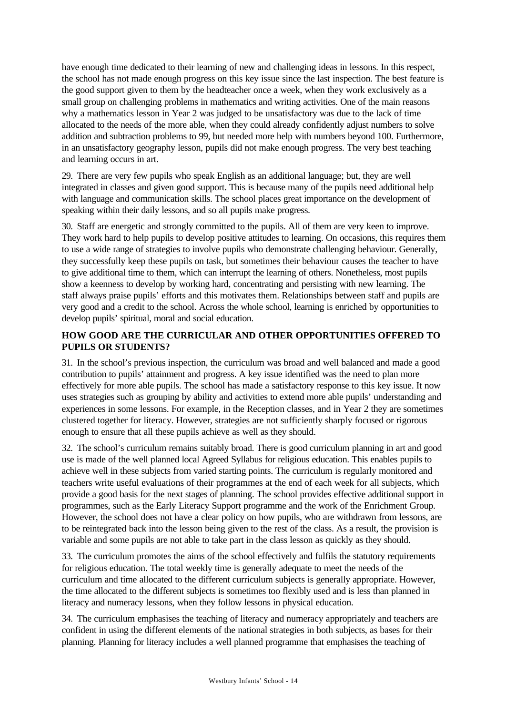have enough time dedicated to their learning of new and challenging ideas in lessons. In this respect, the school has not made enough progress on this key issue since the last inspection. The best feature is the good support given to them by the headteacher once a week, when they work exclusively as a small group on challenging problems in mathematics and writing activities. One of the main reasons why a mathematics lesson in Year 2 was judged to be unsatisfactory was due to the lack of time allocated to the needs of the more able, when they could already confidently adjust numbers to solve addition and subtraction problems to 99, but needed more help with numbers beyond 100. Furthermore, in an unsatisfactory geography lesson, pupils did not make enough progress. The very best teaching and learning occurs in art.

29. There are very few pupils who speak English as an additional language; but, they are well integrated in classes and given good support. This is because many of the pupils need additional help with language and communication skills. The school places great importance on the development of speaking within their daily lessons, and so all pupils make progress.

30. Staff are energetic and strongly committed to the pupils. All of them are very keen to improve. They work hard to help pupils to develop positive attitudes to learning. On occasions, this requires them to use a wide range of strategies to involve pupils who demonstrate challenging behaviour. Generally, they successfully keep these pupils on task, but sometimes their behaviour causes the teacher to have to give additional time to them, which can interrupt the learning of others. Nonetheless, most pupils show a keenness to develop by working hard, concentrating and persisting with new learning. The staff always praise pupils' efforts and this motivates them. Relationships between staff and pupils are very good and a credit to the school. Across the whole school, learning is enriched by opportunities to develop pupils' spiritual, moral and social education.

# **HOW GOOD ARE THE CURRICULAR AND OTHER OPPORTUNITIES OFFERED TO PUPILS OR STUDENTS?**

31. In the school's previous inspection, the curriculum was broad and well balanced and made a good contribution to pupils' attainment and progress. A key issue identified was the need to plan more effectively for more able pupils. The school has made a satisfactory response to this key issue. It now uses strategies such as grouping by ability and activities to extend more able pupils' understanding and experiences in some lessons. For example, in the Reception classes, and in Year 2 they are sometimes clustered together for literacy. However, strategies are not sufficiently sharply focused or rigorous enough to ensure that all these pupils achieve as well as they should.

32. The school's curriculum remains suitably broad. There is good curriculum planning in art and good use is made of the well planned local Agreed Syllabus for religious education. This enables pupils to achieve well in these subjects from varied starting points. The curriculum is regularly monitored and teachers write useful evaluations of their programmes at the end of each week for all subjects, which provide a good basis for the next stages of planning. The school provides effective additional support in programmes, such as the Early Literacy Support programme and the work of the Enrichment Group. However, the school does not have a clear policy on how pupils, who are withdrawn from lessons, are to be reintegrated back into the lesson being given to the rest of the class. As a result, the provision is variable and some pupils are not able to take part in the class lesson as quickly as they should.

33. The curriculum promotes the aims of the school effectively and fulfils the statutory requirements for religious education. The total weekly time is generally adequate to meet the needs of the curriculum and time allocated to the different curriculum subjects is generally appropriate. However, the time allocated to the different subjects is sometimes too flexibly used and is less than planned in literacy and numeracy lessons, when they follow lessons in physical education.

34. The curriculum emphasises the teaching of literacy and numeracy appropriately and teachers are confident in using the different elements of the national strategies in both subjects, as bases for their planning. Planning for literacy includes a well planned programme that emphasises the teaching of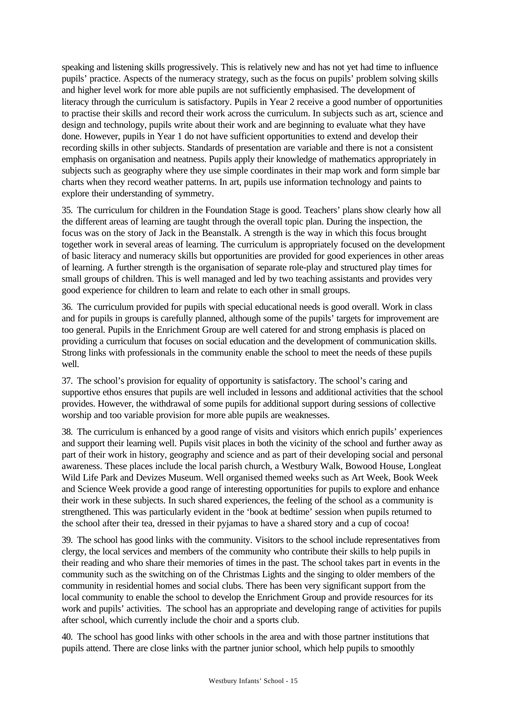speaking and listening skills progressively. This is relatively new and has not yet had time to influence pupils' practice. Aspects of the numeracy strategy, such as the focus on pupils' problem solving skills and higher level work for more able pupils are not sufficiently emphasised. The development of literacy through the curriculum is satisfactory. Pupils in Year 2 receive a good number of opportunities to practise their skills and record their work across the curriculum. In subjects such as art, science and design and technology, pupils write about their work and are beginning to evaluate what they have done. However, pupils in Year 1 do not have sufficient opportunities to extend and develop their recording skills in other subjects. Standards of presentation are variable and there is not a consistent emphasis on organisation and neatness. Pupils apply their knowledge of mathematics appropriately in subjects such as geography where they use simple coordinates in their map work and form simple bar charts when they record weather patterns. In art, pupils use information technology and paints to explore their understanding of symmetry.

35. The curriculum for children in the Foundation Stage is good. Teachers' plans show clearly how all the different areas of learning are taught through the overall topic plan. During the inspection, the focus was on the story of Jack in the Beanstalk. A strength is the way in which this focus brought together work in several areas of learning. The curriculum is appropriately focused on the development of basic literacy and numeracy skills but opportunities are provided for good experiences in other areas of learning. A further strength is the organisation of separate role-play and structured play times for small groups of children. This is well managed and led by two teaching assistants and provides very good experience for children to learn and relate to each other in small groups.

36. The curriculum provided for pupils with special educational needs is good overall. Work in class and for pupils in groups is carefully planned, although some of the pupils' targets for improvement are too general. Pupils in the Enrichment Group are well catered for and strong emphasis is placed on providing a curriculum that focuses on social education and the development of communication skills. Strong links with professionals in the community enable the school to meet the needs of these pupils well.

37. The school's provision for equality of opportunity is satisfactory. The school's caring and supportive ethos ensures that pupils are well included in lessons and additional activities that the school provides. However, the withdrawal of some pupils for additional support during sessions of collective worship and too variable provision for more able pupils are weaknesses.

38. The curriculum is enhanced by a good range of visits and visitors which enrich pupils' experiences and support their learning well. Pupils visit places in both the vicinity of the school and further away as part of their work in history, geography and science and as part of their developing social and personal awareness. These places include the local parish church, a Westbury Walk, Bowood House, Longleat Wild Life Park and Devizes Museum. Well organised themed weeks such as Art Week, Book Week and Science Week provide a good range of interesting opportunities for pupils to explore and enhance their work in these subjects. In such shared experiences, the feeling of the school as a community is strengthened. This was particularly evident in the 'book at bedtime' session when pupils returned to the school after their tea, dressed in their pyjamas to have a shared story and a cup of cocoa!

39. The school has good links with the community. Visitors to the school include representatives from clergy, the local services and members of the community who contribute their skills to help pupils in their reading and who share their memories of times in the past. The school takes part in events in the community such as the switching on of the Christmas Lights and the singing to older members of the community in residential homes and social clubs. There has been very significant support from the local community to enable the school to develop the Enrichment Group and provide resources for its work and pupils' activities. The school has an appropriate and developing range of activities for pupils after school, which currently include the choir and a sports club.

40. The school has good links with other schools in the area and with those partner institutions that pupils attend. There are close links with the partner junior school, which help pupils to smoothly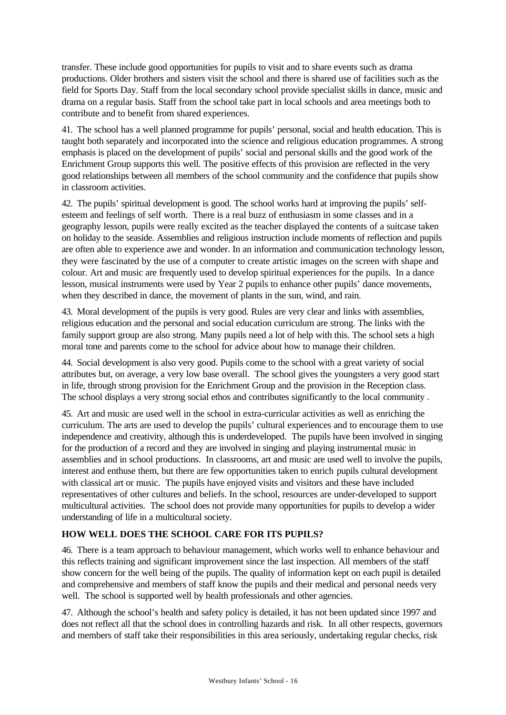transfer. These include good opportunities for pupils to visit and to share events such as drama productions. Older brothers and sisters visit the school and there is shared use of facilities such as the field for Sports Day. Staff from the local secondary school provide specialist skills in dance, music and drama on a regular basis. Staff from the school take part in local schools and area meetings both to contribute and to benefit from shared experiences.

41. The school has a well planned programme for pupils' personal, social and health education. This is taught both separately and incorporated into the science and religious education programmes. A strong emphasis is placed on the development of pupils' social and personal skills and the good work of the Enrichment Group supports this well. The positive effects of this provision are reflected in the very good relationships between all members of the school community and the confidence that pupils show in classroom activities.

42. The pupils' spiritual development is good. The school works hard at improving the pupils' selfesteem and feelings of self worth. There is a real buzz of enthusiasm in some classes and in a geography lesson, pupils were really excited as the teacher displayed the contents of a suitcase taken on holiday to the seaside. Assemblies and religious instruction include moments of reflection and pupils are often able to experience awe and wonder. In an information and communication technology lesson, they were fascinated by the use of a computer to create artistic images on the screen with shape and colour. Art and music are frequently used to develop spiritual experiences for the pupils. In a dance lesson, musical instruments were used by Year 2 pupils to enhance other pupils' dance movements, when they described in dance, the movement of plants in the sun, wind, and rain.

43. Moral development of the pupils is very good. Rules are very clear and links with assemblies, religious education and the personal and social education curriculum are strong. The links with the family support group are also strong. Many pupils need a lot of help with this. The school sets a high moral tone and parents come to the school for advice about how to manage their children.

44. Social development is also very good. Pupils come to the school with a great variety of social attributes but, on average, a very low base overall. The school gives the youngsters a very good start in life, through strong provision for the Enrichment Group and the provision in the Reception class. The school displays a very strong social ethos and contributes significantly to the local community .

45. Art and music are used well in the school in extra-curricular activities as well as enriching the curriculum. The arts are used to develop the pupils' cultural experiences and to encourage them to use independence and creativity, although this is underdeveloped. The pupils have been involved in singing for the production of a record and they are involved in singing and playing instrumental music in assemblies and in school productions. In classrooms, art and music are used well to involve the pupils, interest and enthuse them, but there are few opportunities taken to enrich pupils cultural development with classical art or music. The pupils have enjoyed visits and visitors and these have included representatives of other cultures and beliefs. In the school, resources are under-developed to support multicultural activities. The school does not provide many opportunities for pupils to develop a wider understanding of life in a multicultural society.

# **HOW WELL DOES THE SCHOOL CARE FOR ITS PUPILS?**

46. There is a team approach to behaviour management, which works well to enhance behaviour and this reflects training and significant improvement since the last inspection. All members of the staff show concern for the well being of the pupils. The quality of information kept on each pupil is detailed and comprehensive and members of staff know the pupils and their medical and personal needs very well. The school is supported well by health professionals and other agencies.

47. Although the school's health and safety policy is detailed, it has not been updated since 1997 and does not reflect all that the school does in controlling hazards and risk. In all other respects, governors and members of staff take their responsibilities in this area seriously, undertaking regular checks, risk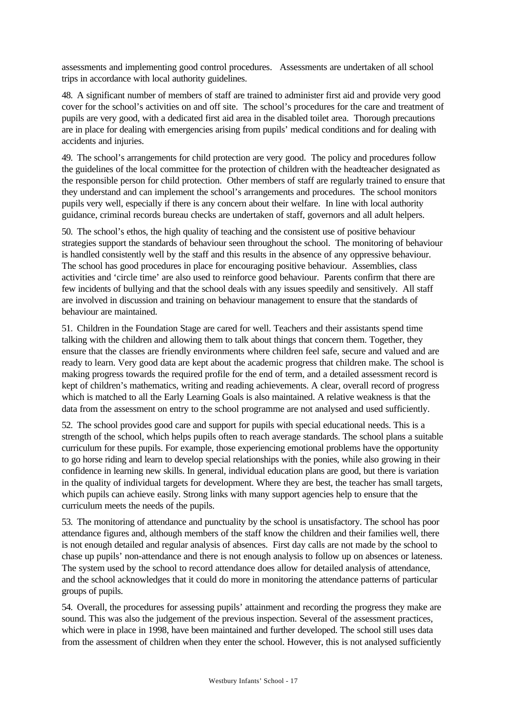assessments and implementing good control procedures. Assessments are undertaken of all school trips in accordance with local authority guidelines.

48. A significant number of members of staff are trained to administer first aid and provide very good cover for the school's activities on and off site. The school's procedures for the care and treatment of pupils are very good, with a dedicated first aid area in the disabled toilet area. Thorough precautions are in place for dealing with emergencies arising from pupils' medical conditions and for dealing with accidents and injuries.

49. The school's arrangements for child protection are very good. The policy and procedures follow the guidelines of the local committee for the protection of children with the headteacher designated as the responsible person for child protection. Other members of staff are regularly trained to ensure that they understand and can implement the school's arrangements and procedures. The school monitors pupils very well, especially if there is any concern about their welfare. In line with local authority guidance, criminal records bureau checks are undertaken of staff, governors and all adult helpers.

50. The school's ethos, the high quality of teaching and the consistent use of positive behaviour strategies support the standards of behaviour seen throughout the school. The monitoring of behaviour is handled consistently well by the staff and this results in the absence of any oppressive behaviour. The school has good procedures in place for encouraging positive behaviour. Assemblies, class activities and 'circle time' are also used to reinforce good behaviour. Parents confirm that there are few incidents of bullying and that the school deals with any issues speedily and sensitively. All staff are involved in discussion and training on behaviour management to ensure that the standards of behaviour are maintained.

51. Children in the Foundation Stage are cared for well. Teachers and their assistants spend time talking with the children and allowing them to talk about things that concern them. Together, they ensure that the classes are friendly environments where children feel safe, secure and valued and are ready to learn. Very good data are kept about the academic progress that children make. The school is making progress towards the required profile for the end of term, and a detailed assessment record is kept of children's mathematics, writing and reading achievements. A clear, overall record of progress which is matched to all the Early Learning Goals is also maintained. A relative weakness is that the data from the assessment on entry to the school programme are not analysed and used sufficiently.

52. The school provides good care and support for pupils with special educational needs. This is a strength of the school, which helps pupils often to reach average standards. The school plans a suitable curriculum for these pupils. For example, those experiencing emotional problems have the opportunity to go horse riding and learn to develop special relationships with the ponies, while also growing in their confidence in learning new skills. In general, individual education plans are good, but there is variation in the quality of individual targets for development. Where they are best, the teacher has small targets, which pupils can achieve easily. Strong links with many support agencies help to ensure that the curriculum meets the needs of the pupils.

53. The monitoring of attendance and punctuality by the school is unsatisfactory. The school has poor attendance figures and, although members of the staff know the children and their families well, there is not enough detailed and regular analysis of absences. First day calls are not made by the school to chase up pupils' non-attendance and there is not enough analysis to follow up on absences or lateness. The system used by the school to record attendance does allow for detailed analysis of attendance, and the school acknowledges that it could do more in monitoring the attendance patterns of particular groups of pupils.

54. Overall, the procedures for assessing pupils' attainment and recording the progress they make are sound. This was also the judgement of the previous inspection. Several of the assessment practices, which were in place in 1998, have been maintained and further developed. The school still uses data from the assessment of children when they enter the school. However, this is not analysed sufficiently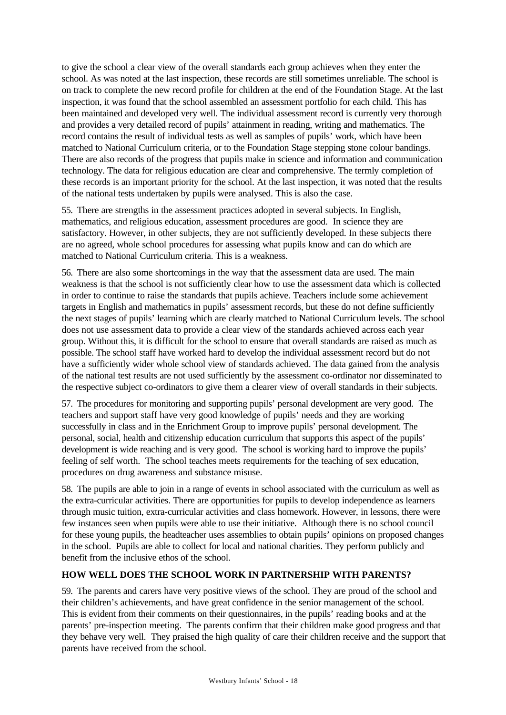to give the school a clear view of the overall standards each group achieves when they enter the school. As was noted at the last inspection, these records are still sometimes unreliable. The school is on track to complete the new record profile for children at the end of the Foundation Stage. At the last inspection, it was found that the school assembled an assessment portfolio for each child. This has been maintained and developed very well. The individual assessment record is currently very thorough and provides a very detailed record of pupils' attainment in reading, writing and mathematics. The record contains the result of individual tests as well as samples of pupils' work, which have been matched to National Curriculum criteria, or to the Foundation Stage stepping stone colour bandings. There are also records of the progress that pupils make in science and information and communication technology. The data for religious education are clear and comprehensive. The termly completion of these records is an important priority for the school. At the last inspection, it was noted that the results of the national tests undertaken by pupils were analysed. This is also the case.

55. There are strengths in the assessment practices adopted in several subjects. In English, mathematics, and religious education, assessment procedures are good. In science they are satisfactory. However, in other subjects, they are not sufficiently developed. In these subjects there are no agreed, whole school procedures for assessing what pupils know and can do which are matched to National Curriculum criteria. This is a weakness.

56. There are also some shortcomings in the way that the assessment data are used. The main weakness is that the school is not sufficiently clear how to use the assessment data which is collected in order to continue to raise the standards that pupils achieve. Teachers include some achievement targets in English and mathematics in pupils' assessment records, but these do not define sufficiently the next stages of pupils' learning which are clearly matched to National Curriculum levels. The school does not use assessment data to provide a clear view of the standards achieved across each year group. Without this, it is difficult for the school to ensure that overall standards are raised as much as possible. The school staff have worked hard to develop the individual assessment record but do not have a sufficiently wider whole school view of standards achieved. The data gained from the analysis of the national test results are not used sufficiently by the assessment co-ordinator nor disseminated to the respective subject co-ordinators to give them a clearer view of overall standards in their subjects.

57. The procedures for monitoring and supporting pupils' personal development are very good. The teachers and support staff have very good knowledge of pupils' needs and they are working successfully in class and in the Enrichment Group to improve pupils' personal development. The personal, social, health and citizenship education curriculum that supports this aspect of the pupils' development is wide reaching and is very good. The school is working hard to improve the pupils' feeling of self worth. The school teaches meets requirements for the teaching of sex education, procedures on drug awareness and substance misuse.

58. The pupils are able to join in a range of events in school associated with the curriculum as well as the extra-curricular activities. There are opportunities for pupils to develop independence as learners through music tuition, extra-curricular activities and class homework. However, in lessons, there were few instances seen when pupils were able to use their initiative. Although there is no school council for these young pupils, the headteacher uses assemblies to obtain pupils' opinions on proposed changes in the school. Pupils are able to collect for local and national charities. They perform publicly and benefit from the inclusive ethos of the school.

# **HOW WELL DOES THE SCHOOL WORK IN PARTNERSHIP WITH PARENTS?**

59. The parents and carers have very positive views of the school. They are proud of the school and their children's achievements, and have great confidence in the senior management of the school. This is evident from their comments on their questionnaires, in the pupils' reading books and at the parents' pre-inspection meeting. The parents confirm that their children make good progress and that they behave very well. They praised the high quality of care their children receive and the support that parents have received from the school.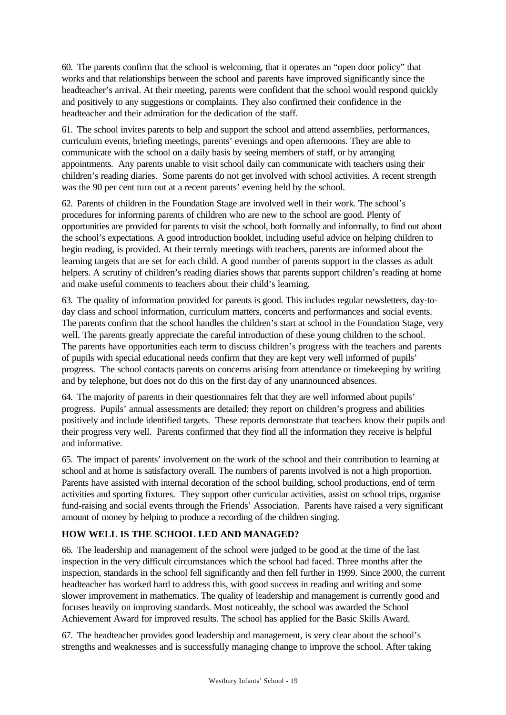60. The parents confirm that the school is welcoming, that it operates an "open door policy" that works and that relationships between the school and parents have improved significantly since the headteacher's arrival. At their meeting, parents were confident that the school would respond quickly and positively to any suggestions or complaints. They also confirmed their confidence in the headteacher and their admiration for the dedication of the staff.

61. The school invites parents to help and support the school and attend assemblies, performances, curriculum events, briefing meetings, parents' evenings and open afternoons. They are able to communicate with the school on a daily basis by seeing members of staff, or by arranging appointments. Any parents unable to visit school daily can communicate with teachers using their children's reading diaries. Some parents do not get involved with school activities. A recent strength was the 90 per cent turn out at a recent parents' evening held by the school.

62. Parents of children in the Foundation Stage are involved well in their work. The school's procedures for informing parents of children who are new to the school are good. Plenty of opportunities are provided for parents to visit the school, both formally and informally, to find out about the school's expectations. A good introduction booklet, including useful advice on helping children to begin reading, is provided. At their termly meetings with teachers, parents are informed about the learning targets that are set for each child. A good number of parents support in the classes as adult helpers. A scrutiny of children's reading diaries shows that parents support children's reading at home and make useful comments to teachers about their child's learning.

63. The quality of information provided for parents is good. This includes regular newsletters, day-today class and school information, curriculum matters, concerts and performances and social events. The parents confirm that the school handles the children's start at school in the Foundation Stage, very well. The parents greatly appreciate the careful introduction of these young children to the school. The parents have opportunities each term to discuss children's progress with the teachers and parents of pupils with special educational needs confirm that they are kept very well informed of pupils' progress. The school contacts parents on concerns arising from attendance or timekeeping by writing and by telephone, but does not do this on the first day of any unannounced absences.

64. The majority of parents in their questionnaires felt that they are well informed about pupils' progress. Pupils' annual assessments are detailed; they report on children's progress and abilities positively and include identified targets. These reports demonstrate that teachers know their pupils and their progress very well. Parents confirmed that they find all the information they receive is helpful and informative.

65. The impact of parents' involvement on the work of the school and their contribution to learning at school and at home is satisfactory overall. The numbers of parents involved is not a high proportion. Parents have assisted with internal decoration of the school building, school productions, end of term activities and sporting fixtures. They support other curricular activities, assist on school trips, organise fund-raising and social events through the Friends' Association. Parents have raised a very significant amount of money by helping to produce a recording of the children singing.

# **HOW WELL IS THE SCHOOL LED AND MANAGED?**

66. The leadership and management of the school were judged to be good at the time of the last inspection in the very difficult circumstances which the school had faced. Three months after the inspection, standards in the school fell significantly and then fell further in 1999. Since 2000, the current headteacher has worked hard to address this, with good success in reading and writing and some slower improvement in mathematics. The quality of leadership and management is currently good and focuses heavily on improving standards. Most noticeably, the school was awarded the School Achievement Award for improved results. The school has applied for the Basic Skills Award.

67. The headteacher provides good leadership and management, is very clear about the school's strengths and weaknesses and is successfully managing change to improve the school. After taking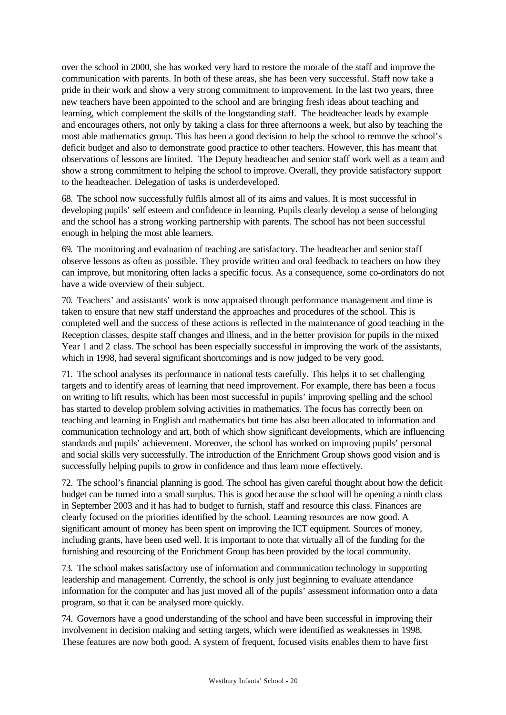over the school in 2000, she has worked very hard to restore the morale of the staff and improve the communication with parents. In both of these areas, she has been very successful. Staff now take a pride in their work and show a very strong commitment to improvement. In the last two years, three new teachers have been appointed to the school and are bringing fresh ideas about teaching and learning, which complement the skills of the longstanding staff. The headteacher leads by example and encourages others, not only by taking a class for three afternoons a week, but also by teaching the most able mathematics group. This has been a good decision to help the school to remove the school's deficit budget and also to demonstrate good practice to other teachers. However, this has meant that observations of lessons are limited. The Deputy headteacher and senior staff work well as a team and show a strong commitment to helping the school to improve. Overall, they provide satisfactory support to the headteacher. Delegation of tasks is underdeveloped.

68. The school now successfully fulfils almost all of its aims and values. It is most successful in developing pupils' self esteem and confidence in learning. Pupils clearly develop a sense of belonging and the school has a strong working partnership with parents. The school has not been successful enough in helping the most able learners.

69. The monitoring and evaluation of teaching are satisfactory. The headteacher and senior staff observe lessons as often as possible. They provide written and oral feedback to teachers on how they can improve, but monitoring often lacks a specific focus. As a consequence, some co-ordinators do not have a wide overview of their subject.

70. Teachers' and assistants' work is now appraised through performance management and time is taken to ensure that new staff understand the approaches and procedures of the school. This is completed well and the success of these actions is reflected in the maintenance of good teaching in the Reception classes, despite staff changes and illness, and in the better provision for pupils in the mixed Year 1 and 2 class. The school has been especially successful in improving the work of the assistants, which in 1998, had several significant shortcomings and is now judged to be very good.

71. The school analyses its performance in national tests carefully. This helps it to set challenging targets and to identify areas of learning that need improvement. For example, there has been a focus on writing to lift results, which has been most successful in pupils' improving spelling and the school has started to develop problem solving activities in mathematics. The focus has correctly been on teaching and learning in English and mathematics but time has also been allocated to information and communication technology and art, both of which show significant developments, which are influencing standards and pupils' achievement. Moreover, the school has worked on improving pupils' personal and social skills very successfully. The introduction of the Enrichment Group shows good vision and is successfully helping pupils to grow in confidence and thus learn more effectively.

72. The school's financial planning is good. The school has given careful thought about how the deficit budget can be turned into a small surplus. This is good because the school will be opening a ninth class in September 2003 and it has had to budget to furnish, staff and resource this class. Finances are clearly focused on the priorities identified by the school. Learning resources are now good. A significant amount of money has been spent on improving the ICT equipment. Sources of money, including grants, have been used well. It is important to note that virtually all of the funding for the furnishing and resourcing of the Enrichment Group has been provided by the local community.

73. The school makes satisfactory use of information and communication technology in supporting leadership and management. Currently, the school is only just beginning to evaluate attendance information for the computer and has just moved all of the pupils' assessment information onto a data program, so that it can be analysed more quickly.

74. Governors have a good understanding of the school and have been successful in improving their involvement in decision making and setting targets, which were identified as weaknesses in 1998. These features are now both good. A system of frequent, focused visits enables them to have first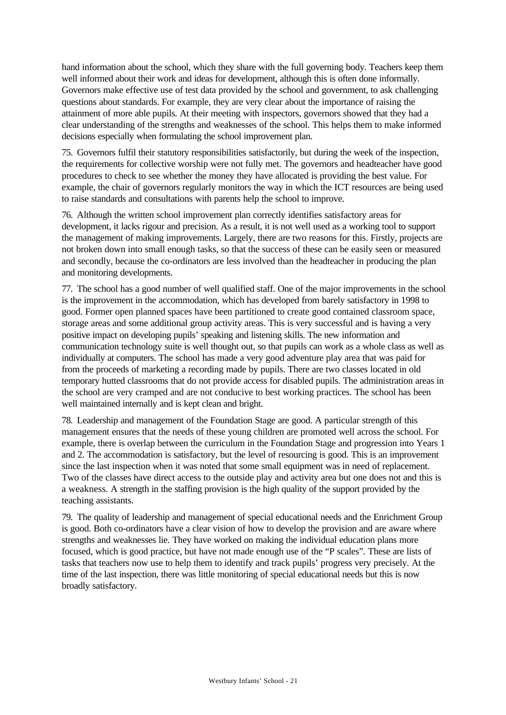hand information about the school, which they share with the full governing body. Teachers keep them well informed about their work and ideas for development, although this is often done informally. Governors make effective use of test data provided by the school and government, to ask challenging questions about standards. For example, they are very clear about the importance of raising the attainment of more able pupils. At their meeting with inspectors, governors showed that they had a clear understanding of the strengths and weaknesses of the school. This helps them to make informed decisions especially when formulating the school improvement plan.

75. Governors fulfil their statutory responsibilities satisfactorily, but during the week of the inspection, the requirements for collective worship were not fully met. The governors and headteacher have good procedures to check to see whether the money they have allocated is providing the best value. For example, the chair of governors regularly monitors the way in which the ICT resources are being used to raise standards and consultations with parents help the school to improve.

76. Although the written school improvement plan correctly identifies satisfactory areas for development, it lacks rigour and precision. As a result, it is not well used as a working tool to support the management of making improvements. Largely, there are two reasons for this. Firstly, projects are not broken down into small enough tasks, so that the success of these can be easily seen or measured and secondly, because the co-ordinators are less involved than the headteacher in producing the plan and monitoring developments.

77. The school has a good number of well qualified staff. One of the major improvements in the school is the improvement in the accommodation, which has developed from barely satisfactory in 1998 to good. Former open planned spaces have been partitioned to create good contained classroom space, storage areas and some additional group activity areas. This is very successful and is having a very positive impact on developing pupils' speaking and listening skills. The new information and communication technology suite is well thought out, so that pupils can work as a whole class as well as individually at computers. The school has made a very good adventure play area that was paid for from the proceeds of marketing a recording made by pupils. There are two classes located in old temporary hutted classrooms that do not provide access for disabled pupils. The administration areas in the school are very cramped and are not conducive to best working practices. The school has been well maintained internally and is kept clean and bright.

78. Leadership and management of the Foundation Stage are good. A particular strength of this management ensures that the needs of these young children are promoted well across the school. For example, there is overlap between the curriculum in the Foundation Stage and progression into Years 1 and 2. The accommodation is satisfactory, but the level of resourcing is good. This is an improvement since the last inspection when it was noted that some small equipment was in need of replacement. Two of the classes have direct access to the outside play and activity area but one does not and this is a weakness. A strength in the staffing provision is the high quality of the support provided by the teaching assistants.

79. The quality of leadership and management of special educational needs and the Enrichment Group is good. Both co-ordinators have a clear vision of how to develop the provision and are aware where strengths and weaknesses lie. They have worked on making the individual education plans more focused, which is good practice, but have not made enough use of the "P scales". These are lists of tasks that teachers now use to help them to identify and track pupils' progress very precisely. At the time of the last inspection, there was little monitoring of special educational needs but this is now broadly satisfactory.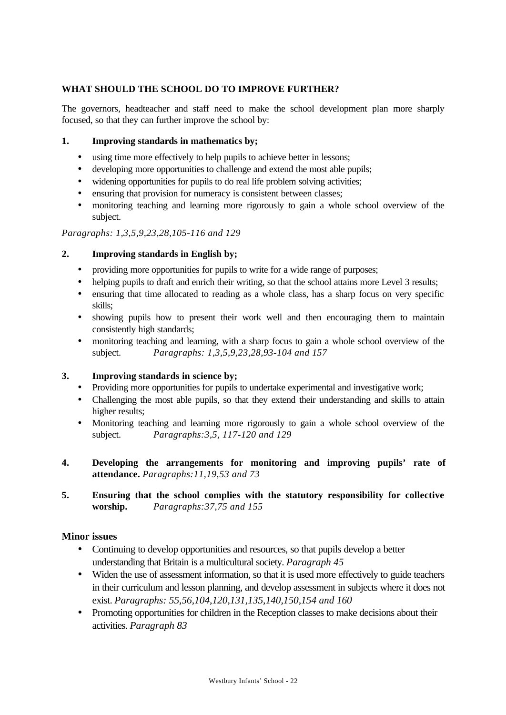# **WHAT SHOULD THE SCHOOL DO TO IMPROVE FURTHER?**

The governors, headteacher and staff need to make the school development plan more sharply focused, so that they can further improve the school by:

#### **1. Improving standards in mathematics by;**

- using time more effectively to help pupils to achieve better in lessons;
- developing more opportunities to challenge and extend the most able pupils;
- widening opportunities for pupils to do real life problem solving activities;
- ensuring that provision for numeracy is consistent between classes;
- monitoring teaching and learning more rigorously to gain a whole school overview of the subject.

#### *Paragraphs: 1,3,5,9,23,28,105-116 and 129*

#### **2. Improving standards in English by;**

- providing more opportunities for pupils to write for a wide range of purposes;
- helping pupils to draft and enrich their writing, so that the school attains more Level 3 results;
- ensuring that time allocated to reading as a whole class, has a sharp focus on very specific skills;
- showing pupils how to present their work well and then encouraging them to maintain consistently high standards;
- monitoring teaching and learning, with a sharp focus to gain a whole school overview of the subject. *Paragraphs: 1,3,5,9,23,28,93-104 and 157*

#### **3. Improving standards in science by;**

- Providing more opportunities for pupils to undertake experimental and investigative work;
- Challenging the most able pupils, so that they extend their understanding and skills to attain higher results;
- Monitoring teaching and learning more rigorously to gain a whole school overview of the subject. *Paragraphs:3,5, 117-120 and 129*
- **4. Developing the arrangements for monitoring and improving pupils' rate of attendance.** *Paragraphs:11,19,53 and 73*
- **5. Ensuring that the school complies with the statutory responsibility for collective worship.** *Paragraphs:37,75 and 155*

#### **Minor issues**

- Continuing to develop opportunities and resources, so that pupils develop a better understanding that Britain is a multicultural society. *Paragraph 45*
- Widen the use of assessment information, so that it is used more effectively to guide teachers in their curriculum and lesson planning, and develop assessment in subjects where it does not exist. *Paragraphs: 55,56,104,120,131,135,140,150,154 and 160*
- Promoting opportunities for children in the Reception classes to make decisions about their activities. *Paragraph 83*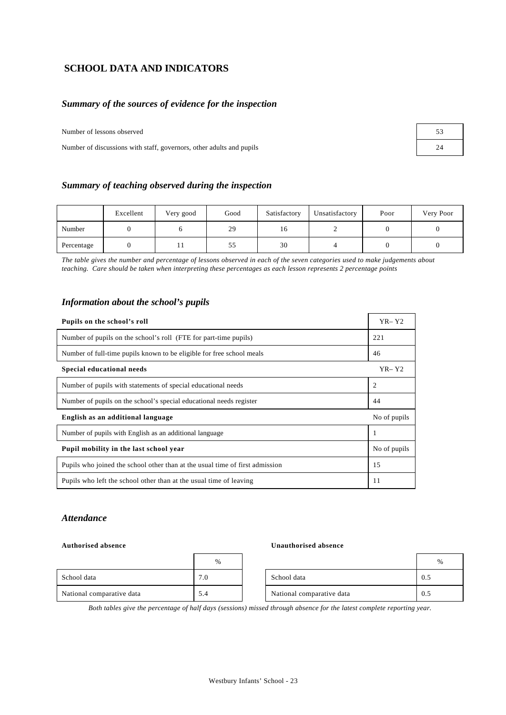# **SCHOOL DATA AND INDICATORS**

#### *Summary of the sources of evidence for the inspection*

Number of lessons observed

Number of discussions with staff, governors, other adults and pupils

| 53 |
|----|
| 24 |

#### *Summary of teaching observed during the inspection*

|            | Excellent | Very good | Good | Satisfactory | Unsatisfactory | Poor | Very Poor |
|------------|-----------|-----------|------|--------------|----------------|------|-----------|
| Number     |           |           | 29   | 16           |                |      |           |
| Percentage |           |           | 55   | 30           |                |      |           |

*The table gives the number and percentage of lessons observed in each of the seven categories used to make judgements about teaching. Care should be taken when interpreting these percentages as each lesson represents 2 percentage points*

#### *Information about the school's pupils*

| Pupils on the school's roll                                                  | $YR - Y2$    |
|------------------------------------------------------------------------------|--------------|
| Number of pupils on the school's roll (FTE for part-time pupils)             | 221          |
| Number of full-time pupils known to be eligible for free school meals        | 46           |
| Special educational needs                                                    | $YR - Y2$    |
| Number of pupils with statements of special educational needs                | 2            |
| Number of pupils on the school's special educational needs register          | 44           |
| English as an additional language                                            | No of pupils |
| Number of pupils with English as an additional language                      |              |
| Pupil mobility in the last school year                                       | No of pupils |
| Pupils who joined the school other than at the usual time of first admission | 15           |
| Pupils who left the school other than at the usual time of leaving           | 11           |

#### *Attendance*

#### Authorised absence **United Authorised absence U**

|                           | $\%$ |                           |     |
|---------------------------|------|---------------------------|-----|
| School data               | 7.0  | School data               | 0.5 |
| National comparative data | 5.4  | National comparative data | 0.5 |

| % |                           | $\frac{0}{0}$ |
|---|---------------------------|---------------|
|   | School data               |               |
|   | National comparative data |               |

*Both tables give the percentage of half days (sessions) missed through absence for the latest complete reporting year.*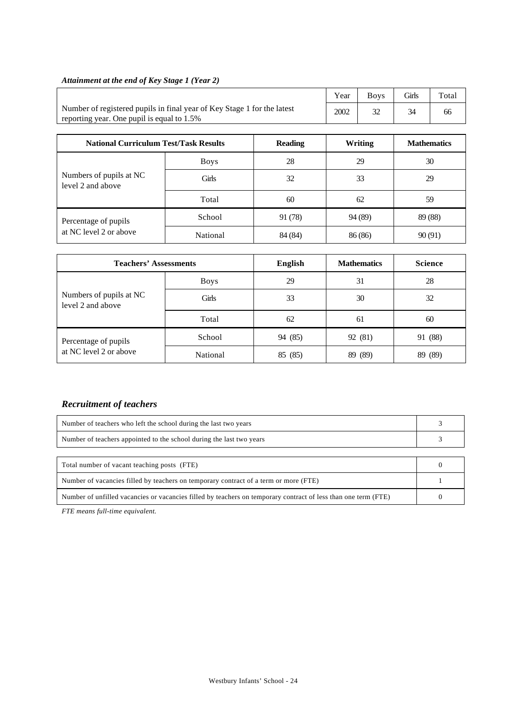# *Attainment at the end of Key Stage 1 (Year 2)*

|                                                                                                                       | Year | <b>Boys</b> | <b>Girls</b> | Total |
|-----------------------------------------------------------------------------------------------------------------------|------|-------------|--------------|-------|
| Number of registered pupils in final year of Key Stage 1 for the latest<br>reporting year. One pupil is equal to 1.5% | 2002 |             |              | 66    |

| <b>National Curriculum Test/Task Results</b> |              | <b>Reading</b> | Writing | <b>Mathematics</b> |
|----------------------------------------------|--------------|----------------|---------|--------------------|
|                                              | <b>Boys</b>  | 28             | 29      | 30                 |
| Numbers of pupils at NC<br>level 2 and above | <b>Girls</b> | 32             | 33      | 29                 |
|                                              | Total        | 60             | 62      | 59                 |
| Percentage of pupils                         | School       | 91 (78)        | 94 (89) | 89 (88)            |
| at NC level 2 or above                       | National     | 84 (84)        | 86 (86) | 90(91)             |

| <b>Teachers' Assessments</b>                 |             | English | <b>Mathematics</b> | <b>Science</b> |
|----------------------------------------------|-------------|---------|--------------------|----------------|
|                                              | <b>Boys</b> | 29      | 31                 | 28             |
| Numbers of pupils at NC<br>level 2 and above | Girls       | 33      | 30                 | 32             |
|                                              | Total       | 62      | 61                 | 60             |
| Percentage of pupils                         | School      | 94 (85) | 92 (81)            | 91 (88)        |
| at NC level 2 or above                       | National    | 85 (85) | 89 (89)            | 89 (89)        |

# *Recruitment of teachers*

| Number of teachers who left the school during the last two years                                               |  |  |  |  |  |
|----------------------------------------------------------------------------------------------------------------|--|--|--|--|--|
| Number of teachers appointed to the school during the last two years                                           |  |  |  |  |  |
|                                                                                                                |  |  |  |  |  |
| Total number of vacant teaching posts (FTE)                                                                    |  |  |  |  |  |
| Number of vacancies filled by teachers on temporary contract of a term or more (FTE)                           |  |  |  |  |  |
| Number of unfilled vacancies or vacancies filled by teachers on temporary contract of less than one term (FTE) |  |  |  |  |  |

*FTE means full-time equivalent.*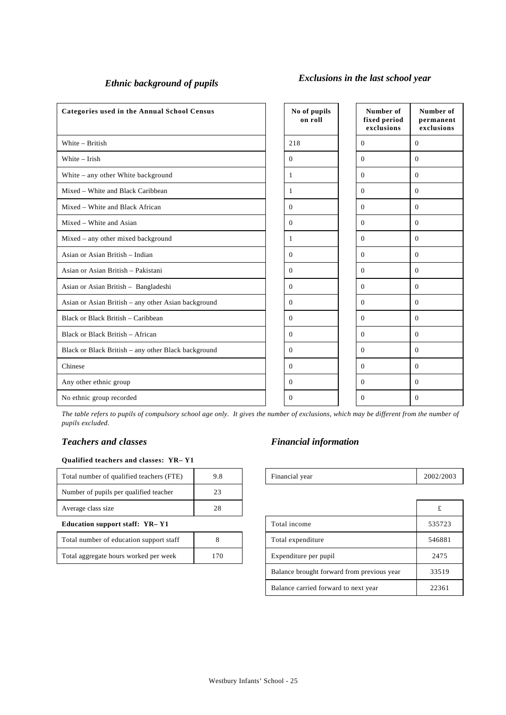# *Ethnic background of pupils Exclusions in the last school year*

| Categories used in the Annual School Census         | No of pupils<br>on roll | Number of<br>fixed period<br>exclusions | Number of<br>permanent<br>exclusions |
|-----------------------------------------------------|-------------------------|-----------------------------------------|--------------------------------------|
| White - British                                     | 218                     | $\Omega$                                | $\Omega$                             |
| White - Irish                                       | $\mathbf{0}$            | $\Omega$                                | $\mathbf{0}$                         |
| White - any other White background                  | 1                       | $\Omega$                                | $\Omega$                             |
| Mixed - White and Black Caribbean                   | 1                       | $\mathbf{0}$                            | $\mathbf{0}$                         |
| Mixed – White and Black African                     | $\mathbf{0}$            | $\Omega$                                | $\mathbf{0}$                         |
| Mixed – White and Asian                             | $\mathbf{0}$            | $\mathbf{0}$                            | $\mathbf{0}$                         |
| Mixed - any other mixed background                  | 1                       | $\overline{0}$                          | $\mathbf{0}$                         |
| Asian or Asian British - Indian                     | $\overline{0}$          | $\overline{0}$                          | $\mathbf{0}$                         |
| Asian or Asian British - Pakistani                  | $\overline{0}$          | $\theta$                                | $\Omega$                             |
| Asian or Asian British - Bangladeshi                | $\Omega$                | $\Omega$                                | $\Omega$                             |
| Asian or Asian British - any other Asian background | $\mathbf{0}$            | $\Omega$                                | $\Omega$                             |
| Black or Black British - Caribbean                  | $\mathbf{0}$            | $\Omega$                                | $\Omega$                             |
| Black or Black British - African                    | $\mathbf{0}$            | $\Omega$                                | $\Omega$                             |
| Black or Black British – any other Black background | $\Omega$                | $\Omega$                                | $\Omega$                             |
| Chinese                                             | $\Omega$                | $\Omega$                                | $\mathbf{0}$                         |
| Any other ethnic group                              | $\Omega$                | $\Omega$                                | $\Omega$                             |
| No ethnic group recorded                            | $\Omega$                | $\Omega$                                | $\Omega$                             |

*The table refers to pupils of compulsory school age only. It gives the number of exclusions, which may be different from the number of pupils excluded.*

#### **Qualified teachers and classes: YR– Y1**

| Total number of qualified teachers (FTE) | 9.8 | Financial year | 2002/ |
|------------------------------------------|-----|----------------|-------|
| Number of pupils per qualified teacher   | 23  |                |       |
| Average class size                       | 28  |                |       |

#### **Education support staff: YR-Y1**

| Total number of education support staff |     |
|-----------------------------------------|-----|
| Total aggregate hours worked per week   | 170 |

# *Teachers and classes Financial information*

| l number of qualified teachers<br>'FTE.<br>Total | 7.0 | vear<br>Financial | 2002/2003 |
|--------------------------------------------------|-----|-------------------|-----------|
|                                                  |     |                   |           |

| Average class size                      | 28  |                                            |        |
|-----------------------------------------|-----|--------------------------------------------|--------|
| Education support staff: YR-Y1          |     | Total income                               | 535723 |
| Total number of education support staff |     | Total expenditure                          | 546881 |
| Total aggregate hours worked per week   | 170 | Expenditure per pupil                      | 2475   |
|                                         |     | Balance brought forward from previous year | 33519  |
|                                         |     | Balance carried forward to next year       | 22361  |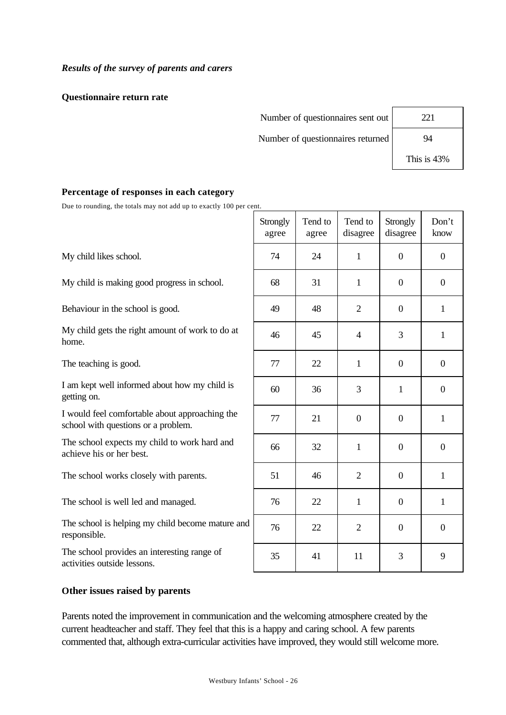# *Results of the survey of parents and carers*

#### **Questionnaire return rate**

Number of questionnaires sent out Number of questionnaires returned

| 221 |  |
|-----|--|
| 94  |  |

This is 43%

# **Percentage of responses in each category**

Due to rounding, the totals may not add up to exactly 100 per cent.

|                                                                                       | Strongly<br>agree | Tend to<br>agree | Tend to<br>disagree | Strongly<br>disagree | Don't<br>know    |
|---------------------------------------------------------------------------------------|-------------------|------------------|---------------------|----------------------|------------------|
| My child likes school.                                                                | 74                | 24               | $\mathbf{1}$        | $\overline{0}$       | $\overline{0}$   |
| My child is making good progress in school.                                           | 68                | 31               | $\mathbf{1}$        | $\overline{0}$       | $\boldsymbol{0}$ |
| Behaviour in the school is good.                                                      | 49                | 48               | $\overline{2}$      | $\overline{0}$       | 1                |
| My child gets the right amount of work to do at<br>home.                              | 46                | 45               | $\overline{4}$      | 3                    | 1                |
| The teaching is good.                                                                 | 77                | 22               | $\mathbf{1}$        | $\overline{0}$       | $\overline{0}$   |
| I am kept well informed about how my child is<br>getting on.                          | 60                | 36               | 3                   | 1                    | $\overline{0}$   |
| I would feel comfortable about approaching the<br>school with questions or a problem. | 77                | 21               | $\theta$            | $\boldsymbol{0}$     | $\mathbf{1}$     |
| The school expects my child to work hard and<br>achieve his or her best.              | 66                | 32               | $\mathbf{1}$        | $\overline{0}$       | $\overline{0}$   |
| The school works closely with parents.                                                | 51                | 46               | $\overline{2}$      | $\boldsymbol{0}$     | 1                |
| The school is well led and managed.                                                   | 76                | 22               | $\mathbf{1}$        | $\overline{0}$       | 1                |
| The school is helping my child become mature and<br>responsible.                      | 76                | 22               | $\overline{2}$      | $\overline{0}$       | $\boldsymbol{0}$ |
| The school provides an interesting range of                                           | 25                | $\Lambda$ 1      | 11                  | $\mathbf{r}$         | $\Omega$         |

**Other issues raised by parents**

activities outside lessons.

Parents noted the improvement in communication and the welcoming atmosphere created by the current headteacher and staff. They feel that this is a happy and caring school. A few parents commented that, although extra-curricular activities have improved, they would still welcome more.

35 41 11 3 9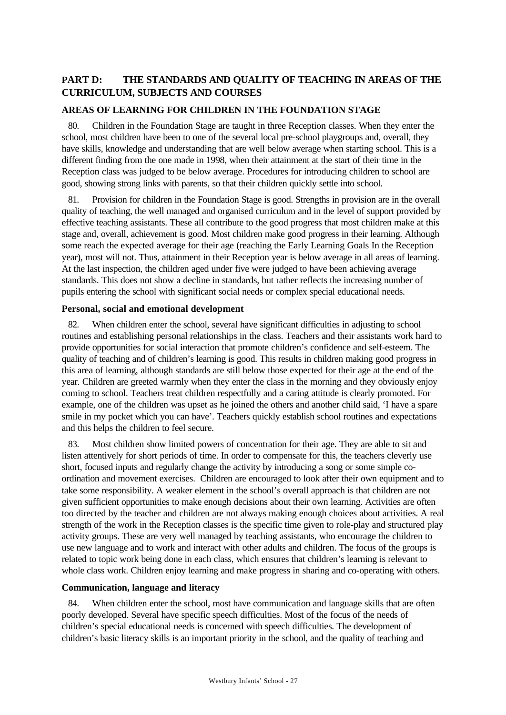# **PART D: THE STANDARDS AND QUALITY OF TEACHING IN AREAS OF THE CURRICULUM, SUBJECTS AND COURSES**

# **AREAS OF LEARNING FOR CHILDREN IN THE FOUNDATION STAGE**

80. Children in the Foundation Stage are taught in three Reception classes. When they enter the school, most children have been to one of the several local pre-school playgroups and, overall, they have skills, knowledge and understanding that are well below average when starting school. This is a different finding from the one made in 1998, when their attainment at the start of their time in the Reception class was judged to be below average. Procedures for introducing children to school are good, showing strong links with parents, so that their children quickly settle into school.

81. Provision for children in the Foundation Stage is good. Strengths in provision are in the overall quality of teaching, the well managed and organised curriculum and in the level of support provided by effective teaching assistants. These all contribute to the good progress that most children make at this stage and, overall, achievement is good. Most children make good progress in their learning. Although some reach the expected average for their age (reaching the Early Learning Goals In the Reception year), most will not. Thus, attainment in their Reception year is below average in all areas of learning. At the last inspection, the children aged under five were judged to have been achieving average standards. This does not show a decline in standards, but rather reflects the increasing number of pupils entering the school with significant social needs or complex special educational needs.

#### **Personal, social and emotional development**

82. When children enter the school, several have significant difficulties in adjusting to school routines and establishing personal relationships in the class. Teachers and their assistants work hard to provide opportunities for social interaction that promote children's confidence and self-esteem. The quality of teaching and of children's learning is good. This results in children making good progress in this area of learning, although standards are still below those expected for their age at the end of the year. Children are greeted warmly when they enter the class in the morning and they obviously enjoy coming to school. Teachers treat children respectfully and a caring attitude is clearly promoted. For example, one of the children was upset as he joined the others and another child said, 'I have a spare smile in my pocket which you can have'. Teachers quickly establish school routines and expectations and this helps the children to feel secure.

83. Most children show limited powers of concentration for their age. They are able to sit and listen attentively for short periods of time. In order to compensate for this, the teachers cleverly use short, focused inputs and regularly change the activity by introducing a song or some simple coordination and movement exercises. Children are encouraged to look after their own equipment and to take some responsibility. A weaker element in the school's overall approach is that children are not given sufficient opportunities to make enough decisions about their own learning. Activities are often too directed by the teacher and children are not always making enough choices about activities. A real strength of the work in the Reception classes is the specific time given to role-play and structured play activity groups. These are very well managed by teaching assistants, who encourage the children to use new language and to work and interact with other adults and children. The focus of the groups is related to topic work being done in each class, which ensures that children's learning is relevant to whole class work. Children enjoy learning and make progress in sharing and co-operating with others.

# **Communication, language and literacy**

When children enter the school, most have communication and language skills that are often poorly developed. Several have specific speech difficulties. Most of the focus of the needs of children's special educational needs is concerned with speech difficulties. The development of children's basic literacy skills is an important priority in the school, and the quality of teaching and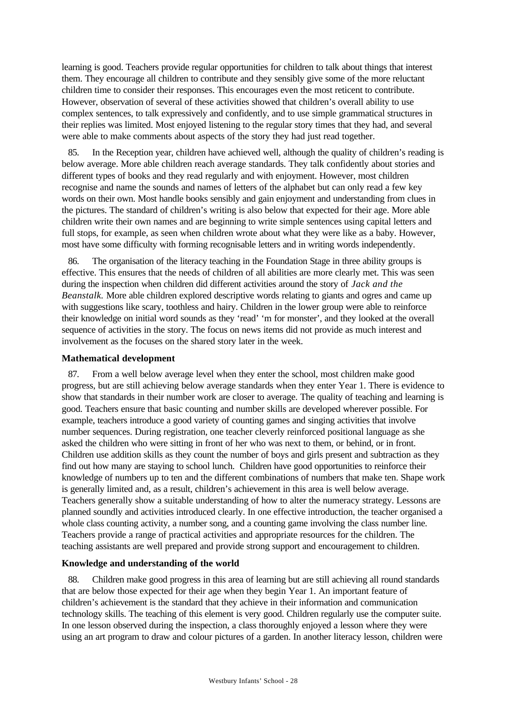learning is good. Teachers provide regular opportunities for children to talk about things that interest them. They encourage all children to contribute and they sensibly give some of the more reluctant children time to consider their responses. This encourages even the most reticent to contribute. However, observation of several of these activities showed that children's overall ability to use complex sentences, to talk expressively and confidently, and to use simple grammatical structures in their replies was limited. Most enjoyed listening to the regular story times that they had, and several were able to make comments about aspects of the story they had just read together.

85. In the Reception year, children have achieved well, although the quality of children's reading is below average. More able children reach average standards. They talk confidently about stories and different types of books and they read regularly and with enjoyment. However, most children recognise and name the sounds and names of letters of the alphabet but can only read a few key words on their own. Most handle books sensibly and gain enjoyment and understanding from clues in the pictures. The standard of children's writing is also below that expected for their age. More able children write their own names and are beginning to write simple sentences using capital letters and full stops, for example, as seen when children wrote about what they were like as a baby. However, most have some difficulty with forming recognisable letters and in writing words independently.

86. The organisation of the literacy teaching in the Foundation Stage in three ability groups is effective. This ensures that the needs of children of all abilities are more clearly met. This was seen during the inspection when children did different activities around the story of *Jack and the Beanstalk.* More able children explored descriptive words relating to giants and ogres and came up with suggestions like scary, toothless and hairy. Children in the lower group were able to reinforce their knowledge on initial word sounds as they 'read' 'm for monster', and they looked at the overall sequence of activities in the story. The focus on news items did not provide as much interest and involvement as the focuses on the shared story later in the week.

#### **Mathematical development**

87. From a well below average level when they enter the school, most children make good progress, but are still achieving below average standards when they enter Year 1. There is evidence to show that standards in their number work are closer to average. The quality of teaching and learning is good. Teachers ensure that basic counting and number skills are developed wherever possible. For example, teachers introduce a good variety of counting games and singing activities that involve number sequences. During registration, one teacher cleverly reinforced positional language as she asked the children who were sitting in front of her who was next to them, or behind, or in front. Children use addition skills as they count the number of boys and girls present and subtraction as they find out how many are staying to school lunch. Children have good opportunities to reinforce their knowledge of numbers up to ten and the different combinations of numbers that make ten. Shape work is generally limited and, as a result, children's achievement in this area is well below average. Teachers generally show a suitable understanding of how to alter the numeracy strategy. Lessons are planned soundly and activities introduced clearly. In one effective introduction, the teacher organised a whole class counting activity, a number song, and a counting game involving the class number line. Teachers provide a range of practical activities and appropriate resources for the children. The teaching assistants are well prepared and provide strong support and encouragement to children.

#### **Knowledge and understanding of the world**

88. Children make good progress in this area of learning but are still achieving all round standards that are below those expected for their age when they begin Year 1. An important feature of children's achievement is the standard that they achieve in their information and communication technology skills. The teaching of this element is very good. Children regularly use the computer suite. In one lesson observed during the inspection, a class thoroughly enjoyed a lesson where they were using an art program to draw and colour pictures of a garden. In another literacy lesson, children were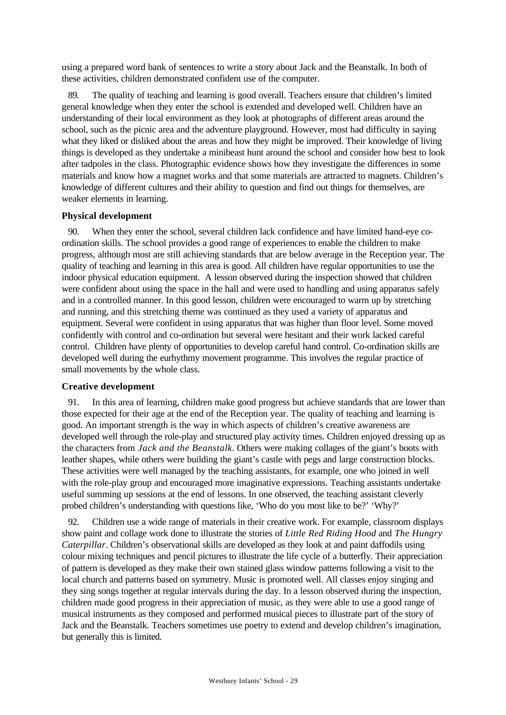using a prepared word bank of sentences to write a story about Jack and the Beanstalk. In both of these activities, children demonstrated confident use of the computer.

89. The quality of teaching and learning is good overall. Teachers ensure that children's limited general knowledge when they enter the school is extended and developed well. Children have an understanding of their local environment as they look at photographs of different areas around the school, such as the picnic area and the adventure playground. However, most had difficulty in saying what they liked or disliked about the areas and how they might be improved. Their knowledge of living things is developed as they undertake a minibeast hunt around the school and consider how best to look after tadpoles in the class. Photographic evidence shows how they investigate the differences in some materials and know how a magnet works and that some materials are attracted to magnets. Children's knowledge of different cultures and their ability to question and find out things for themselves, are weaker elements in learning.

#### **Physical development**

90. When they enter the school, several children lack confidence and have limited hand-eye coordination skills. The school provides a good range of experiences to enable the children to make progress, although most are still achieving standards that are below average in the Reception year. The quality of teaching and learning in this area is good. All children have regular opportunities to use the indoor physical education equipment. A lesson observed during the inspection showed that children were confident about using the space in the hall and were used to handling and using apparatus safely and in a controlled manner. In this good lesson, children were encouraged to warm up by stretching and running, and this stretching theme was continued as they used a variety of apparatus and equipment. Several were confident in using apparatus that was higher than floor level. Some moved confidently with control and co-ordination but several were hesitant and their work lacked careful control. Children have plenty of opportunities to develop careful hand control. Co-ordination skills are developed well during the eurhythmy movement programme. This involves the regular practice of small movements by the whole class.

#### **Creative development**

91. In this area of learning, children make good progress but achieve standards that are lower than those expected for their age at the end of the Reception year. The quality of teaching and learning is good. An important strength is the way in which aspects of children's creative awareness are developed well through the role-play and structured play activity times. Children enjoyed dressing up as the characters from *Jack and the Beanstalk.* Others were making collages of the giant's boots with leather shapes, while others were building the giant's castle with pegs and large construction blocks. These activities were well managed by the teaching assistants, for example, one who joined in well with the role-play group and encouraged more imaginative expressions. Teaching assistants undertake useful summing up sessions at the end of lessons. In one observed, the teaching assistant cleverly probed children's understanding with questions like, 'Who do you most like to be?' 'Why?'

92. Children use a wide range of materials in their creative work. For example, classroom displays show paint and collage work done to illustrate the stories of *Little Red Riding Hood* and *The Hungry Caterpillar*. Children's observational skills are developed as they look at and paint daffodils using colour mixing techniques and pencil pictures to illustrate the life cycle of a butterfly. Their appreciation of pattern is developed as they make their own stained glass window patterns following a visit to the local church and patterns based on symmetry. Music is promoted well. All classes enjoy singing and they sing songs together at regular intervals during the day. In a lesson observed during the inspection, children made good progress in their appreciation of music, as they were able to use a good range of musical instruments as they composed and performed musical pieces to illustrate part of the story of Jack and the Beanstalk. Teachers sometimes use poetry to extend and develop children's imagination, but generally this is limited.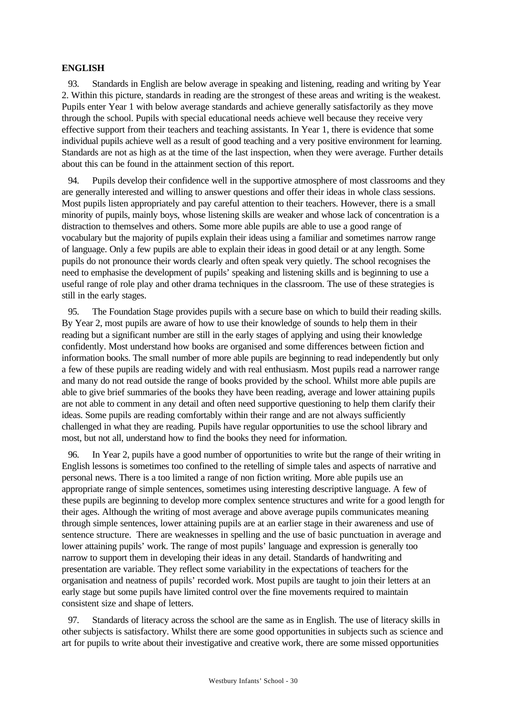#### **ENGLISH**

93. Standards in English are below average in speaking and listening, reading and writing by Year 2. Within this picture, standards in reading are the strongest of these areas and writing is the weakest. Pupils enter Year 1 with below average standards and achieve generally satisfactorily as they move through the school. Pupils with special educational needs achieve well because they receive very effective support from their teachers and teaching assistants. In Year 1, there is evidence that some individual pupils achieve well as a result of good teaching and a very positive environment for learning. Standards are not as high as at the time of the last inspection, when they were average. Further details about this can be found in the attainment section of this report.

94. Pupils develop their confidence well in the supportive atmosphere of most classrooms and they are generally interested and willing to answer questions and offer their ideas in whole class sessions. Most pupils listen appropriately and pay careful attention to their teachers. However, there is a small minority of pupils, mainly boys, whose listening skills are weaker and whose lack of concentration is a distraction to themselves and others. Some more able pupils are able to use a good range of vocabulary but the majority of pupils explain their ideas using a familiar and sometimes narrow range of language. Only a few pupils are able to explain their ideas in good detail or at any length. Some pupils do not pronounce their words clearly and often speak very quietly. The school recognises the need to emphasise the development of pupils' speaking and listening skills and is beginning to use a useful range of role play and other drama techniques in the classroom. The use of these strategies is still in the early stages.

95. The Foundation Stage provides pupils with a secure base on which to build their reading skills. By Year 2, most pupils are aware of how to use their knowledge of sounds to help them in their reading but a significant number are still in the early stages of applying and using their knowledge confidently. Most understand how books are organised and some differences between fiction and information books. The small number of more able pupils are beginning to read independently but only a few of these pupils are reading widely and with real enthusiasm. Most pupils read a narrower range and many do not read outside the range of books provided by the school. Whilst more able pupils are able to give brief summaries of the books they have been reading, average and lower attaining pupils are not able to comment in any detail and often need supportive questioning to help them clarify their ideas. Some pupils are reading comfortably within their range and are not always sufficiently challenged in what they are reading. Pupils have regular opportunities to use the school library and most, but not all, understand how to find the books they need for information.

96. In Year 2, pupils have a good number of opportunities to write but the range of their writing in English lessons is sometimes too confined to the retelling of simple tales and aspects of narrative and personal news. There is a too limited a range of non fiction writing. More able pupils use an appropriate range of simple sentences, sometimes using interesting descriptive language. A few of these pupils are beginning to develop more complex sentence structures and write for a good length for their ages. Although the writing of most average and above average pupils communicates meaning through simple sentences, lower attaining pupils are at an earlier stage in their awareness and use of sentence structure. There are weaknesses in spelling and the use of basic punctuation in average and lower attaining pupils' work. The range of most pupils' language and expression is generally too narrow to support them in developing their ideas in any detail. Standards of handwriting and presentation are variable. They reflect some variability in the expectations of teachers for the organisation and neatness of pupils' recorded work. Most pupils are taught to join their letters at an early stage but some pupils have limited control over the fine movements required to maintain consistent size and shape of letters.

97. Standards of literacy across the school are the same as in English. The use of literacy skills in other subjects is satisfactory. Whilst there are some good opportunities in subjects such as science and art for pupils to write about their investigative and creative work, there are some missed opportunities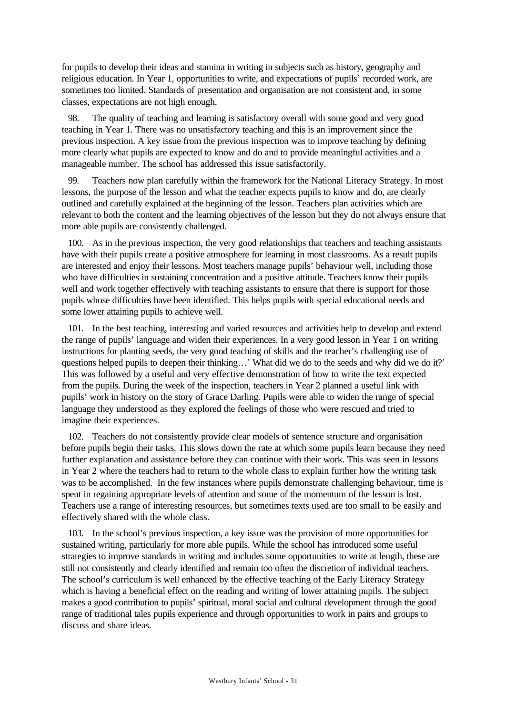for pupils to develop their ideas and stamina in writing in subjects such as history, geography and religious education. In Year 1, opportunities to write, and expectations of pupils' recorded work, are sometimes too limited. Standards of presentation and organisation are not consistent and, in some classes, expectations are not high enough.

98. The quality of teaching and learning is satisfactory overall with some good and very good teaching in Year 1. There was no unsatisfactory teaching and this is an improvement since the previous inspection. A key issue from the previous inspection was to improve teaching by defining more clearly what pupils are expected to know and do and to provide meaningful activities and a manageable number. The school has addressed this issue satisfactorily.

99. Teachers now plan carefully within the framework for the National Literacy Strategy. In most lessons, the purpose of the lesson and what the teacher expects pupils to know and do, are clearly outlined and carefully explained at the beginning of the lesson. Teachers plan activities which are relevant to both the content and the learning objectives of the lesson but they do not always ensure that more able pupils are consistently challenged.

100. As in the previous inspection, the very good relationships that teachers and teaching assistants have with their pupils create a positive atmosphere for learning in most classrooms. As a result pupils are interested and enjoy their lessons. Most teachers manage pupils' behaviour well, including those who have difficulties in sustaining concentration and a positive attitude. Teachers know their pupils well and work together effectively with teaching assistants to ensure that there is support for those pupils whose difficulties have been identified. This helps pupils with special educational needs and some lower attaining pupils to achieve well.

101. In the best teaching, interesting and varied resources and activities help to develop and extend the range of pupils' language and widen their experiences. In a very good lesson in Year 1 on writing instructions for planting seeds, the very good teaching of skills and the teacher's challenging use of questions helped pupils to deepen their thinking…' What did we do to the seeds and why did we do it?' This was followed by a useful and very effective demonstration of how to write the text expected from the pupils. During the week of the inspection, teachers in Year 2 planned a useful link with pupils' work in history on the story of Grace Darling. Pupils were able to widen the range of special language they understood as they explored the feelings of those who were rescued and tried to imagine their experiences.

102. Teachers do not consistently provide clear models of sentence structure and organisation before pupils begin their tasks. This slows down the rate at which some pupils learn because they need further explanation and assistance before they can continue with their work. This was seen in lessons in Year 2 where the teachers had to return to the whole class to explain further how the writing task was to be accomplished. In the few instances where pupils demonstrate challenging behaviour, time is spent in regaining appropriate levels of attention and some of the momentum of the lesson is lost. Teachers use a range of interesting resources, but sometimes texts used are too small to be easily and effectively shared with the whole class.

103. In the school's previous inspection, a key issue was the provision of more opportunities for sustained writing, particularly for more able pupils. While the school has introduced some useful strategies to improve standards in writing and includes some opportunities to write at length, these are still not consistently and clearly identified and remain too often the discretion of individual teachers. The school's curriculum is well enhanced by the effective teaching of the Early Literacy Strategy which is having a beneficial effect on the reading and writing of lower attaining pupils. The subject makes a good contribution to pupils' spiritual, moral social and cultural development through the good range of traditional tales pupils experience and through opportunities to work in pairs and groups to discuss and share ideas.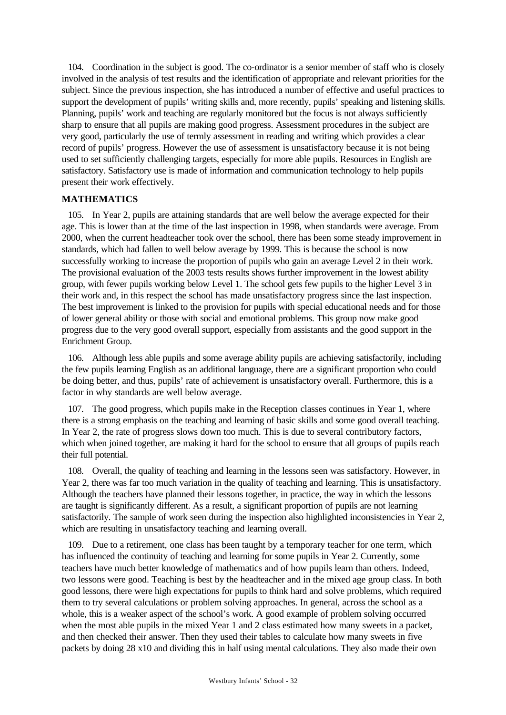104. Coordination in the subject is good. The co-ordinator is a senior member of staff who is closely involved in the analysis of test results and the identification of appropriate and relevant priorities for the subject. Since the previous inspection, she has introduced a number of effective and useful practices to support the development of pupils' writing skills and, more recently, pupils' speaking and listening skills. Planning, pupils' work and teaching are regularly monitored but the focus is not always sufficiently sharp to ensure that all pupils are making good progress. Assessment procedures in the subject are very good, particularly the use of termly assessment in reading and writing which provides a clear record of pupils' progress. However the use of assessment is unsatisfactory because it is not being used to set sufficiently challenging targets, especially for more able pupils. Resources in English are satisfactory. Satisfactory use is made of information and communication technology to help pupils present their work effectively.

#### **MATHEMATICS**

105. In Year 2, pupils are attaining standards that are well below the average expected for their age. This is lower than at the time of the last inspection in 1998, when standards were average. From 2000, when the current headteacher took over the school, there has been some steady improvement in standards, which had fallen to well below average by 1999. This is because the school is now successfully working to increase the proportion of pupils who gain an average Level 2 in their work. The provisional evaluation of the 2003 tests results shows further improvement in the lowest ability group, with fewer pupils working below Level 1. The school gets few pupils to the higher Level 3 in their work and, in this respect the school has made unsatisfactory progress since the last inspection. The best improvement is linked to the provision for pupils with special educational needs and for those of lower general ability or those with social and emotional problems. This group now make good progress due to the very good overall support, especially from assistants and the good support in the Enrichment Group.

106. Although less able pupils and some average ability pupils are achieving satisfactorily, including the few pupils learning English as an additional language, there are a significant proportion who could be doing better, and thus, pupils' rate of achievement is unsatisfactory overall. Furthermore, this is a factor in why standards are well below average.

107. The good progress, which pupils make in the Reception classes continues in Year 1, where there is a strong emphasis on the teaching and learning of basic skills and some good overall teaching. In Year 2, the rate of progress slows down too much. This is due to several contributory factors, which when joined together, are making it hard for the school to ensure that all groups of pupils reach their full potential.

108. Overall, the quality of teaching and learning in the lessons seen was satisfactory. However, in Year 2, there was far too much variation in the quality of teaching and learning. This is unsatisfactory. Although the teachers have planned their lessons together, in practice, the way in which the lessons are taught is significantly different. As a result, a significant proportion of pupils are not learning satisfactorily. The sample of work seen during the inspection also highlighted inconsistencies in Year 2, which are resulting in unsatisfactory teaching and learning overall.

109. Due to a retirement, one class has been taught by a temporary teacher for one term, which has influenced the continuity of teaching and learning for some pupils in Year 2. Currently, some teachers have much better knowledge of mathematics and of how pupils learn than others. Indeed, two lessons were good. Teaching is best by the headteacher and in the mixed age group class. In both good lessons, there were high expectations for pupils to think hard and solve problems, which required them to try several calculations or problem solving approaches. In general, across the school as a whole, this is a weaker aspect of the school's work. A good example of problem solving occurred when the most able pupils in the mixed Year 1 and 2 class estimated how many sweets in a packet, and then checked their answer. Then they used their tables to calculate how many sweets in five packets by doing 28 x10 and dividing this in half using mental calculations. They also made their own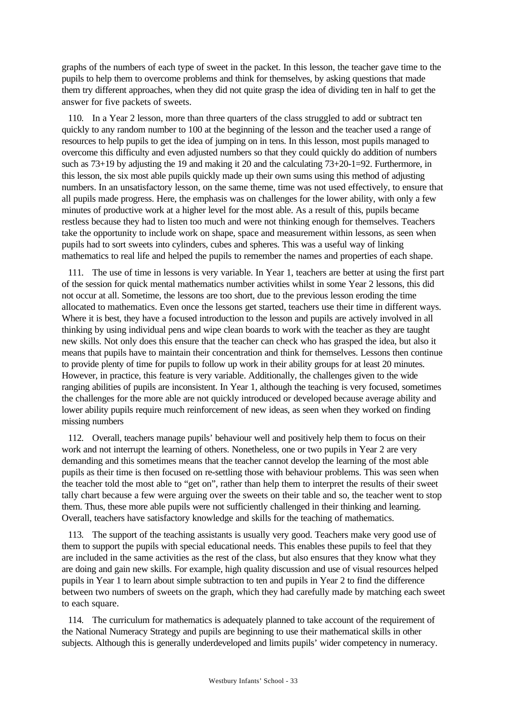graphs of the numbers of each type of sweet in the packet. In this lesson, the teacher gave time to the pupils to help them to overcome problems and think for themselves, by asking questions that made them try different approaches, when they did not quite grasp the idea of dividing ten in half to get the answer for five packets of sweets.

110. In a Year 2 lesson, more than three quarters of the class struggled to add or subtract ten quickly to any random number to 100 at the beginning of the lesson and the teacher used a range of resources to help pupils to get the idea of jumping on in tens. In this lesson, most pupils managed to overcome this difficulty and even adjusted numbers so that they could quickly do addition of numbers such as 73+19 by adjusting the 19 and making it 20 and the calculating 73+20-1=92. Furthermore, in this lesson, the six most able pupils quickly made up their own sums using this method of adjusting numbers. In an unsatisfactory lesson, on the same theme, time was not used effectively, to ensure that all pupils made progress. Here, the emphasis was on challenges for the lower ability, with only a few minutes of productive work at a higher level for the most able. As a result of this, pupils became restless because they had to listen too much and were not thinking enough for themselves. Teachers take the opportunity to include work on shape, space and measurement within lessons, as seen when pupils had to sort sweets into cylinders, cubes and spheres. This was a useful way of linking mathematics to real life and helped the pupils to remember the names and properties of each shape.

111. The use of time in lessons is very variable. In Year 1, teachers are better at using the first part of the session for quick mental mathematics number activities whilst in some Year 2 lessons, this did not occur at all. Sometime, the lessons are too short, due to the previous lesson eroding the time allocated to mathematics. Even once the lessons get started, teachers use their time in different ways. Where it is best, they have a focused introduction to the lesson and pupils are actively involved in all thinking by using individual pens and wipe clean boards to work with the teacher as they are taught new skills. Not only does this ensure that the teacher can check who has grasped the idea, but also it means that pupils have to maintain their concentration and think for themselves. Lessons then continue to provide plenty of time for pupils to follow up work in their ability groups for at least 20 minutes. However, in practice, this feature is very variable. Additionally, the challenges given to the wide ranging abilities of pupils are inconsistent. In Year 1, although the teaching is very focused, sometimes the challenges for the more able are not quickly introduced or developed because average ability and lower ability pupils require much reinforcement of new ideas, as seen when they worked on finding missing numbers

112. Overall, teachers manage pupils' behaviour well and positively help them to focus on their work and not interrupt the learning of others. Nonetheless, one or two pupils in Year 2 are very demanding and this sometimes means that the teacher cannot develop the learning of the most able pupils as their time is then focused on re-settling those with behaviour problems. This was seen when the teacher told the most able to "get on", rather than help them to interpret the results of their sweet tally chart because a few were arguing over the sweets on their table and so, the teacher went to stop them. Thus, these more able pupils were not sufficiently challenged in their thinking and learning. Overall, teachers have satisfactory knowledge and skills for the teaching of mathematics.

113. The support of the teaching assistants is usually very good. Teachers make very good use of them to support the pupils with special educational needs. This enables these pupils to feel that they are included in the same activities as the rest of the class, but also ensures that they know what they are doing and gain new skills. For example, high quality discussion and use of visual resources helped pupils in Year 1 to learn about simple subtraction to ten and pupils in Year 2 to find the difference between two numbers of sweets on the graph, which they had carefully made by matching each sweet to each square.

114. The curriculum for mathematics is adequately planned to take account of the requirement of the National Numeracy Strategy and pupils are beginning to use their mathematical skills in other subjects. Although this is generally underdeveloped and limits pupils' wider competency in numeracy.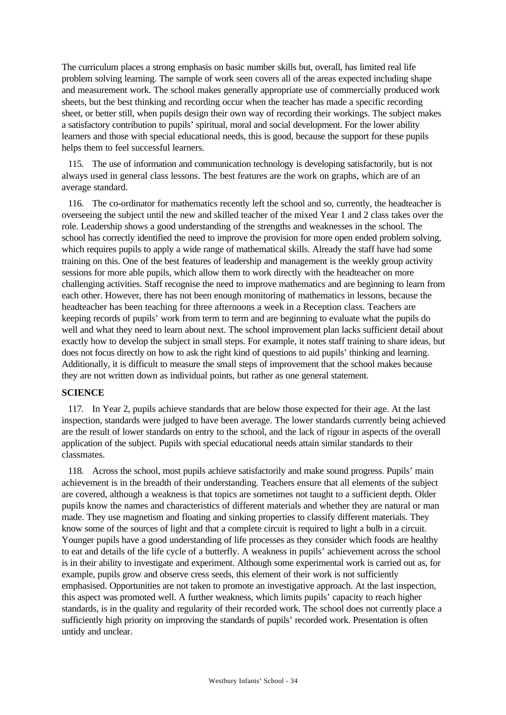The curriculum places a strong emphasis on basic number skills but, overall, has limited real life problem solving learning. The sample of work seen covers all of the areas expected including shape and measurement work. The school makes generally appropriate use of commercially produced work sheets, but the best thinking and recording occur when the teacher has made a specific recording sheet, or better still, when pupils design their own way of recording their workings. The subject makes a satisfactory contribution to pupils' spiritual, moral and social development. For the lower ability learners and those with special educational needs, this is good, because the support for these pupils helps them to feel successful learners.

115. The use of information and communication technology is developing satisfactorily, but is not always used in general class lessons. The best features are the work on graphs, which are of an average standard.

116. The co-ordinator for mathematics recently left the school and so, currently, the headteacher is overseeing the subject until the new and skilled teacher of the mixed Year 1 and 2 class takes over the role. Leadership shows a good understanding of the strengths and weaknesses in the school. The school has correctly identified the need to improve the provision for more open ended problem solving, which requires pupils to apply a wide range of mathematical skills. Already the staff have had some training on this. One of the best features of leadership and management is the weekly group activity sessions for more able pupils, which allow them to work directly with the headteacher on more challenging activities. Staff recognise the need to improve mathematics and are beginning to learn from each other. However, there has not been enough monitoring of mathematics in lessons, because the headteacher has been teaching for three afternoons a week in a Reception class. Teachers are keeping records of pupils' work from term to term and are beginning to evaluate what the pupils do well and what they need to learn about next. The school improvement plan lacks sufficient detail about exactly how to develop the subject in small steps. For example, it notes staff training to share ideas, but does not focus directly on how to ask the right kind of questions to aid pupils' thinking and learning. Additionally, it is difficult to measure the small steps of improvement that the school makes because they are not written down as individual points, but rather as one general statement.

#### **SCIENCE**

117. In Year 2, pupils achieve standards that are below those expected for their age. At the last inspection, standards were judged to have been average. The lower standards currently being achieved are the result of lower standards on entry to the school, and the lack of rigour in aspects of the overall application of the subject. Pupils with special educational needs attain similar standards to their classmates.

118. Across the school, most pupils achieve satisfactorily and make sound progress. Pupils' main achievement is in the breadth of their understanding. Teachers ensure that all elements of the subject are covered, although a weakness is that topics are sometimes not taught to a sufficient depth. Older pupils know the names and characteristics of different materials and whether they are natural or man made. They use magnetism and floating and sinking properties to classify different materials. They know some of the sources of light and that a complete circuit is required to light a bulb in a circuit. Younger pupils have a good understanding of life processes as they consider which foods are healthy to eat and details of the life cycle of a butterfly. A weakness in pupils' achievement across the school is in their ability to investigate and experiment. Although some experimental work is carried out as, for example, pupils grow and observe cress seeds, this element of their work is not sufficiently emphasised. Opportunities are not taken to promote an investigative approach. At the last inspection, this aspect was promoted well. A further weakness, which limits pupils' capacity to reach higher standards, is in the quality and regularity of their recorded work. The school does not currently place a sufficiently high priority on improving the standards of pupils' recorded work. Presentation is often untidy and unclear.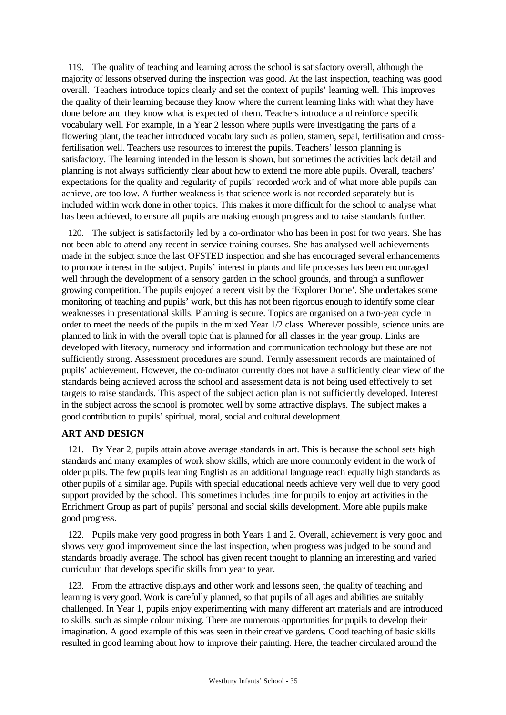119. The quality of teaching and learning across the school is satisfactory overall, although the majority of lessons observed during the inspection was good. At the last inspection, teaching was good overall. Teachers introduce topics clearly and set the context of pupils' learning well. This improves the quality of their learning because they know where the current learning links with what they have done before and they know what is expected of them. Teachers introduce and reinforce specific vocabulary well. For example, in a Year 2 lesson where pupils were investigating the parts of a flowering plant, the teacher introduced vocabulary such as pollen, stamen, sepal, fertilisation and crossfertilisation well. Teachers use resources to interest the pupils. Teachers' lesson planning is satisfactory. The learning intended in the lesson is shown, but sometimes the activities lack detail and planning is not always sufficiently clear about how to extend the more able pupils. Overall, teachers' expectations for the quality and regularity of pupils' recorded work and of what more able pupils can achieve, are too low. A further weakness is that science work is not recorded separately but is included within work done in other topics. This makes it more difficult for the school to analyse what has been achieved, to ensure all pupils are making enough progress and to raise standards further.

120. The subject is satisfactorily led by a co-ordinator who has been in post for two years. She has not been able to attend any recent in-service training courses. She has analysed well achievements made in the subject since the last OFSTED inspection and she has encouraged several enhancements to promote interest in the subject. Pupils' interest in plants and life processes has been encouraged well through the development of a sensory garden in the school grounds, and through a sunflower growing competition. The pupils enjoyed a recent visit by the 'Explorer Dome'. She undertakes some monitoring of teaching and pupils' work, but this has not been rigorous enough to identify some clear weaknesses in presentational skills. Planning is secure. Topics are organised on a two-year cycle in order to meet the needs of the pupils in the mixed Year 1/2 class. Wherever possible, science units are planned to link in with the overall topic that is planned for all classes in the year group. Links are developed with literacy, numeracy and information and communication technology but these are not sufficiently strong. Assessment procedures are sound. Termly assessment records are maintained of pupils' achievement. However, the co-ordinator currently does not have a sufficiently clear view of the standards being achieved across the school and assessment data is not being used effectively to set targets to raise standards. This aspect of the subject action plan is not sufficiently developed. Interest in the subject across the school is promoted well by some attractive displays. The subject makes a good contribution to pupils' spiritual, moral, social and cultural development.

#### **ART AND DESIGN**

121. By Year 2, pupils attain above average standards in art. This is because the school sets high standards and many examples of work show skills, which are more commonly evident in the work of older pupils. The few pupils learning English as an additional language reach equally high standards as other pupils of a similar age. Pupils with special educational needs achieve very well due to very good support provided by the school. This sometimes includes time for pupils to enjoy art activities in the Enrichment Group as part of pupils' personal and social skills development. More able pupils make good progress.

122. Pupils make very good progress in both Years 1 and 2. Overall, achievement is very good and shows very good improvement since the last inspection, when progress was judged to be sound and standards broadly average. The school has given recent thought to planning an interesting and varied curriculum that develops specific skills from year to year.

123. From the attractive displays and other work and lessons seen, the quality of teaching and learning is very good. Work is carefully planned, so that pupils of all ages and abilities are suitably challenged. In Year 1, pupils enjoy experimenting with many different art materials and are introduced to skills, such as simple colour mixing. There are numerous opportunities for pupils to develop their imagination. A good example of this was seen in their creative gardens. Good teaching of basic skills resulted in good learning about how to improve their painting. Here, the teacher circulated around the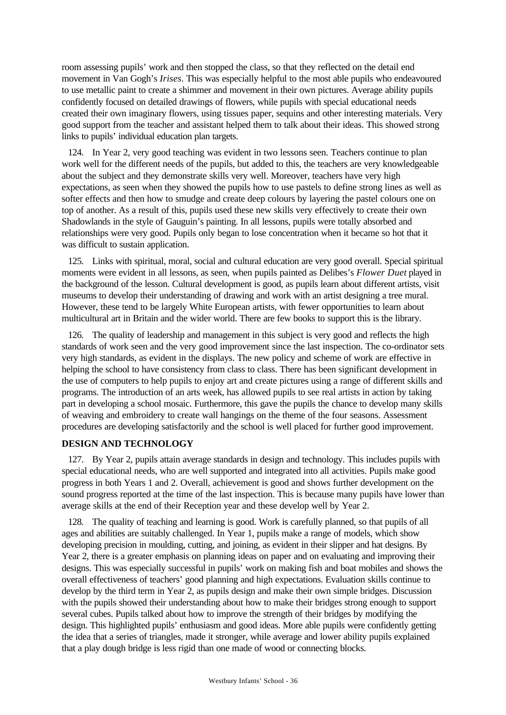room assessing pupils' work and then stopped the class, so that they reflected on the detail end movement in Van Gogh's *Irises*. This was especially helpful to the most able pupils who endeavoured to use metallic paint to create a shimmer and movement in their own pictures. Average ability pupils confidently focused on detailed drawings of flowers, while pupils with special educational needs created their own imaginary flowers, using tissues paper, sequins and other interesting materials. Very good support from the teacher and assistant helped them to talk about their ideas. This showed strong links to pupils' individual education plan targets.

124. In Year 2, very good teaching was evident in two lessons seen. Teachers continue to plan work well for the different needs of the pupils, but added to this, the teachers are very knowledgeable about the subject and they demonstrate skills very well. Moreover, teachers have very high expectations, as seen when they showed the pupils how to use pastels to define strong lines as well as softer effects and then how to smudge and create deep colours by layering the pastel colours one on top of another. As a result of this, pupils used these new skills very effectively to create their own Shadowlands in the style of Gauguin's painting. In all lessons, pupils were totally absorbed and relationships were very good. Pupils only began to lose concentration when it became so hot that it was difficult to sustain application.

125. Links with spiritual, moral, social and cultural education are very good overall. Special spiritual moments were evident in all lessons, as seen, when pupils painted as Delibes's *Flower Duet* played in the background of the lesson. Cultural development is good, as pupils learn about different artists, visit museums to develop their understanding of drawing and work with an artist designing a tree mural. However, these tend to be largely White European artists, with fewer opportunities to learn about multicultural art in Britain and the wider world. There are few books to support this is the library.

126. The quality of leadership and management in this subject is very good and reflects the high standards of work seen and the very good improvement since the last inspection. The co-ordinator sets very high standards, as evident in the displays. The new policy and scheme of work are effective in helping the school to have consistency from class to class. There has been significant development in the use of computers to help pupils to enjoy art and create pictures using a range of different skills and programs. The introduction of an arts week, has allowed pupils to see real artists in action by taking part in developing a school mosaic. Furthermore, this gave the pupils the chance to develop many skills of weaving and embroidery to create wall hangings on the theme of the four seasons. Assessment procedures are developing satisfactorily and the school is well placed for further good improvement.

#### **DESIGN AND TECHNOLOGY**

127. By Year 2, pupils attain average standards in design and technology. This includes pupils with special educational needs, who are well supported and integrated into all activities. Pupils make good progress in both Years 1 and 2. Overall, achievement is good and shows further development on the sound progress reported at the time of the last inspection. This is because many pupils have lower than average skills at the end of their Reception year and these develop well by Year 2.

128. The quality of teaching and learning is good. Work is carefully planned, so that pupils of all ages and abilities are suitably challenged. In Year 1, pupils make a range of models, which show developing precision in moulding, cutting, and joining, as evident in their slipper and hat designs. By Year 2, there is a greater emphasis on planning ideas on paper and on evaluating and improving their designs. This was especially successful in pupils' work on making fish and boat mobiles and shows the overall effectiveness of teachers' good planning and high expectations. Evaluation skills continue to develop by the third term in Year 2, as pupils design and make their own simple bridges. Discussion with the pupils showed their understanding about how to make their bridges strong enough to support several cubes. Pupils talked about how to improve the strength of their bridges by modifying the design. This highlighted pupils' enthusiasm and good ideas. More able pupils were confidently getting the idea that a series of triangles, made it stronger, while average and lower ability pupils explained that a play dough bridge is less rigid than one made of wood or connecting blocks.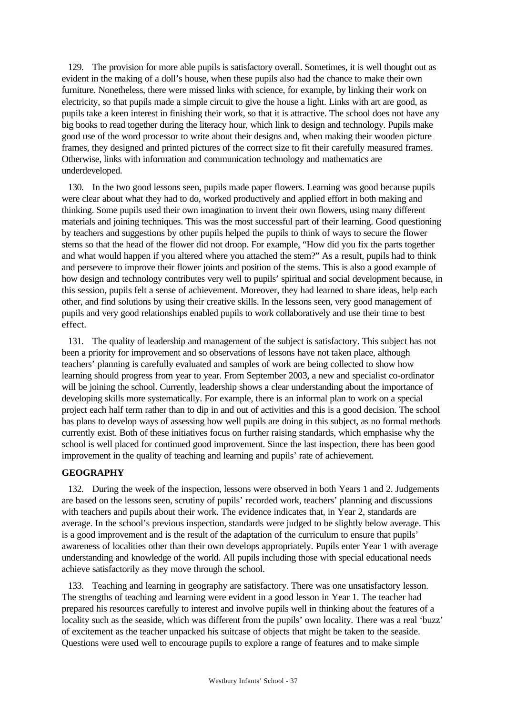129. The provision for more able pupils is satisfactory overall. Sometimes, it is well thought out as evident in the making of a doll's house, when these pupils also had the chance to make their own furniture. Nonetheless, there were missed links with science, for example, by linking their work on electricity, so that pupils made a simple circuit to give the house a light. Links with art are good, as pupils take a keen interest in finishing their work, so that it is attractive. The school does not have any big books to read together during the literacy hour, which link to design and technology. Pupils make good use of the word processor to write about their designs and, when making their wooden picture frames, they designed and printed pictures of the correct size to fit their carefully measured frames. Otherwise, links with information and communication technology and mathematics are underdeveloped.

130. In the two good lessons seen, pupils made paper flowers. Learning was good because pupils were clear about what they had to do, worked productively and applied effort in both making and thinking. Some pupils used their own imagination to invent their own flowers, using many different materials and joining techniques. This was the most successful part of their learning. Good questioning by teachers and suggestions by other pupils helped the pupils to think of ways to secure the flower stems so that the head of the flower did not droop. For example, "How did you fix the parts together and what would happen if you altered where you attached the stem?" As a result, pupils had to think and persevere to improve their flower joints and position of the stems. This is also a good example of how design and technology contributes very well to pupils' spiritual and social development because, in this session, pupils felt a sense of achievement. Moreover, they had learned to share ideas, help each other, and find solutions by using their creative skills. In the lessons seen, very good management of pupils and very good relationships enabled pupils to work collaboratively and use their time to best effect.

131. The quality of leadership and management of the subject is satisfactory. This subject has not been a priority for improvement and so observations of lessons have not taken place, although teachers' planning is carefully evaluated and samples of work are being collected to show how learning should progress from year to year. From September 2003, a new and specialist co-ordinator will be joining the school. Currently, leadership shows a clear understanding about the importance of developing skills more systematically. For example, there is an informal plan to work on a special project each half term rather than to dip in and out of activities and this is a good decision. The school has plans to develop ways of assessing how well pupils are doing in this subject, as no formal methods currently exist. Both of these initiatives focus on further raising standards, which emphasise why the school is well placed for continued good improvement. Since the last inspection, there has been good improvement in the quality of teaching and learning and pupils' rate of achievement.

#### **GEOGRAPHY**

132. During the week of the inspection, lessons were observed in both Years 1 and 2. Judgements are based on the lessons seen, scrutiny of pupils' recorded work, teachers' planning and discussions with teachers and pupils about their work. The evidence indicates that, in Year 2, standards are average. In the school's previous inspection, standards were judged to be slightly below average. This is a good improvement and is the result of the adaptation of the curriculum to ensure that pupils' awareness of localities other than their own develops appropriately. Pupils enter Year 1 with average understanding and knowledge of the world. All pupils including those with special educational needs achieve satisfactorily as they move through the school.

133. Teaching and learning in geography are satisfactory. There was one unsatisfactory lesson. The strengths of teaching and learning were evident in a good lesson in Year 1. The teacher had prepared his resources carefully to interest and involve pupils well in thinking about the features of a locality such as the seaside, which was different from the pupils' own locality. There was a real 'buzz' of excitement as the teacher unpacked his suitcase of objects that might be taken to the seaside. Questions were used well to encourage pupils to explore a range of features and to make simple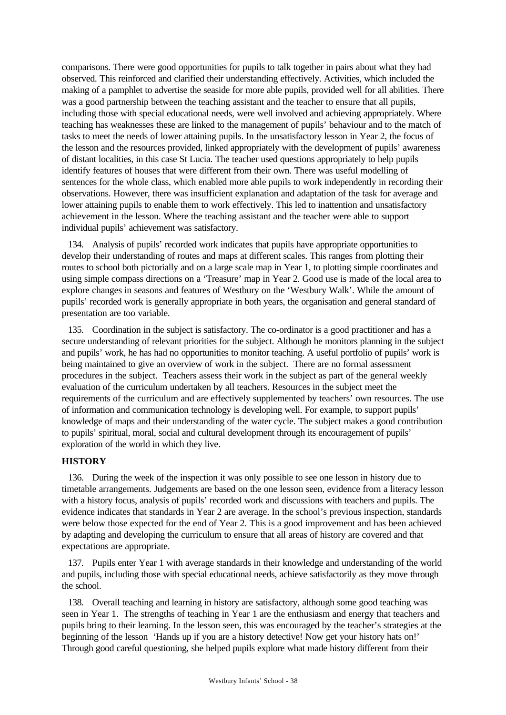comparisons. There were good opportunities for pupils to talk together in pairs about what they had observed. This reinforced and clarified their understanding effectively. Activities, which included the making of a pamphlet to advertise the seaside for more able pupils, provided well for all abilities. There was a good partnership between the teaching assistant and the teacher to ensure that all pupils, including those with special educational needs, were well involved and achieving appropriately. Where teaching has weaknesses these are linked to the management of pupils' behaviour and to the match of tasks to meet the needs of lower attaining pupils. In the unsatisfactory lesson in Year 2, the focus of the lesson and the resources provided, linked appropriately with the development of pupils' awareness of distant localities, in this case St Lucia. The teacher used questions appropriately to help pupils identify features of houses that were different from their own. There was useful modelling of sentences for the whole class, which enabled more able pupils to work independently in recording their observations. However, there was insufficient explanation and adaptation of the task for average and lower attaining pupils to enable them to work effectively. This led to inattention and unsatisfactory achievement in the lesson. Where the teaching assistant and the teacher were able to support individual pupils' achievement was satisfactory.

134. Analysis of pupils' recorded work indicates that pupils have appropriate opportunities to develop their understanding of routes and maps at different scales. This ranges from plotting their routes to school both pictorially and on a large scale map in Year 1, to plotting simple coordinates and using simple compass directions on a 'Treasure' map in Year 2. Good use is made of the local area to explore changes in seasons and features of Westbury on the 'Westbury Walk'. While the amount of pupils' recorded work is generally appropriate in both years, the organisation and general standard of presentation are too variable.

135. Coordination in the subject is satisfactory. The co-ordinator is a good practitioner and has a secure understanding of relevant priorities for the subject. Although he monitors planning in the subject and pupils' work, he has had no opportunities to monitor teaching. A useful portfolio of pupils' work is being maintained to give an overview of work in the subject. There are no formal assessment procedures in the subject. Teachers assess their work in the subject as part of the general weekly evaluation of the curriculum undertaken by all teachers. Resources in the subject meet the requirements of the curriculum and are effectively supplemented by teachers' own resources. The use of information and communication technology is developing well. For example, to support pupils' knowledge of maps and their understanding of the water cycle. The subject makes a good contribution to pupils' spiritual, moral, social and cultural development through its encouragement of pupils' exploration of the world in which they live.

# **HISTORY**

136. During the week of the inspection it was only possible to see one lesson in history due to timetable arrangements. Judgements are based on the one lesson seen, evidence from a literacy lesson with a history focus, analysis of pupils' recorded work and discussions with teachers and pupils. The evidence indicates that standards in Year 2 are average. In the school's previous inspection, standards were below those expected for the end of Year 2. This is a good improvement and has been achieved by adapting and developing the curriculum to ensure that all areas of history are covered and that expectations are appropriate.

137. Pupils enter Year 1 with average standards in their knowledge and understanding of the world and pupils, including those with special educational needs, achieve satisfactorily as they move through the school.

138. Overall teaching and learning in history are satisfactory, although some good teaching was seen in Year 1. The strengths of teaching in Year 1 are the enthusiasm and energy that teachers and pupils bring to their learning. In the lesson seen, this was encouraged by the teacher's strategies at the beginning of the lesson 'Hands up if you are a history detective! Now get your history hats on!' Through good careful questioning, she helped pupils explore what made history different from their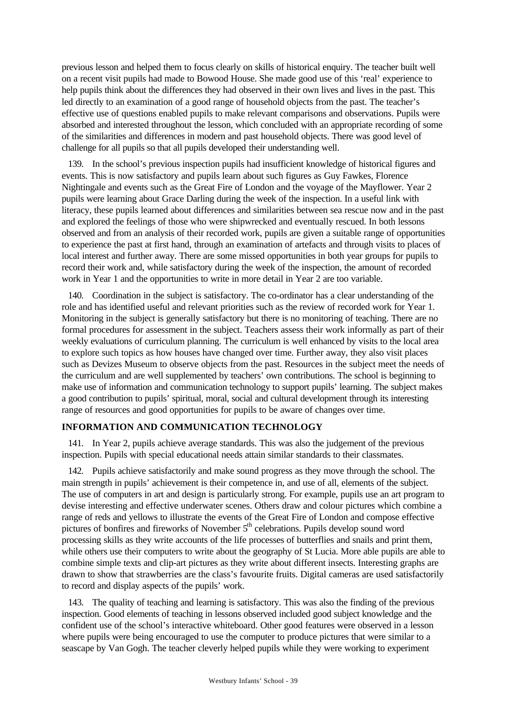previous lesson and helped them to focus clearly on skills of historical enquiry. The teacher built well on a recent visit pupils had made to Bowood House. She made good use of this 'real' experience to help pupils think about the differences they had observed in their own lives and lives in the past. This led directly to an examination of a good range of household objects from the past. The teacher's effective use of questions enabled pupils to make relevant comparisons and observations. Pupils were absorbed and interested throughout the lesson, which concluded with an appropriate recording of some of the similarities and differences in modern and past household objects. There was good level of challenge for all pupils so that all pupils developed their understanding well.

139. In the school's previous inspection pupils had insufficient knowledge of historical figures and events. This is now satisfactory and pupils learn about such figures as Guy Fawkes, Florence Nightingale and events such as the Great Fire of London and the voyage of the Mayflower. Year 2 pupils were learning about Grace Darling during the week of the inspection. In a useful link with literacy, these pupils learned about differences and similarities between sea rescue now and in the past and explored the feelings of those who were shipwrecked and eventually rescued. In both lessons observed and from an analysis of their recorded work, pupils are given a suitable range of opportunities to experience the past at first hand, through an examination of artefacts and through visits to places of local interest and further away. There are some missed opportunities in both year groups for pupils to record their work and, while satisfactory during the week of the inspection, the amount of recorded work in Year 1 and the opportunities to write in more detail in Year 2 are too variable.

140. Coordination in the subject is satisfactory. The co-ordinator has a clear understanding of the role and has identified useful and relevant priorities such as the review of recorded work for Year 1. Monitoring in the subject is generally satisfactory but there is no monitoring of teaching. There are no formal procedures for assessment in the subject. Teachers assess their work informally as part of their weekly evaluations of curriculum planning. The curriculum is well enhanced by visits to the local area to explore such topics as how houses have changed over time. Further away, they also visit places such as Devizes Museum to observe objects from the past. Resources in the subject meet the needs of the curriculum and are well supplemented by teachers' own contributions. The school is beginning to make use of information and communication technology to support pupils' learning. The subject makes a good contribution to pupils' spiritual, moral, social and cultural development through its interesting range of resources and good opportunities for pupils to be aware of changes over time.

#### **INFORMATION AND COMMUNICATION TECHNOLOGY**

141. In Year 2, pupils achieve average standards. This was also the judgement of the previous inspection. Pupils with special educational needs attain similar standards to their classmates.

142. Pupils achieve satisfactorily and make sound progress as they move through the school. The main strength in pupils' achievement is their competence in, and use of all, elements of the subject. The use of computers in art and design is particularly strong. For example, pupils use an art program to devise interesting and effective underwater scenes. Others draw and colour pictures which combine a range of reds and yellows to illustrate the events of the Great Fire of London and compose effective pictures of bonfires and fireworks of November 5<sup>th</sup> celebrations. Pupils develop sound word processing skills as they write accounts of the life processes of butterflies and snails and print them, while others use their computers to write about the geography of St Lucia. More able pupils are able to combine simple texts and clip-art pictures as they write about different insects. Interesting graphs are drawn to show that strawberries are the class's favourite fruits. Digital cameras are used satisfactorily to record and display aspects of the pupils' work.

143. The quality of teaching and learning is satisfactory. This was also the finding of the previous inspection. Good elements of teaching in lessons observed included good subject knowledge and the confident use of the school's interactive whiteboard. Other good features were observed in a lesson where pupils were being encouraged to use the computer to produce pictures that were similar to a seascape by Van Gogh. The teacher cleverly helped pupils while they were working to experiment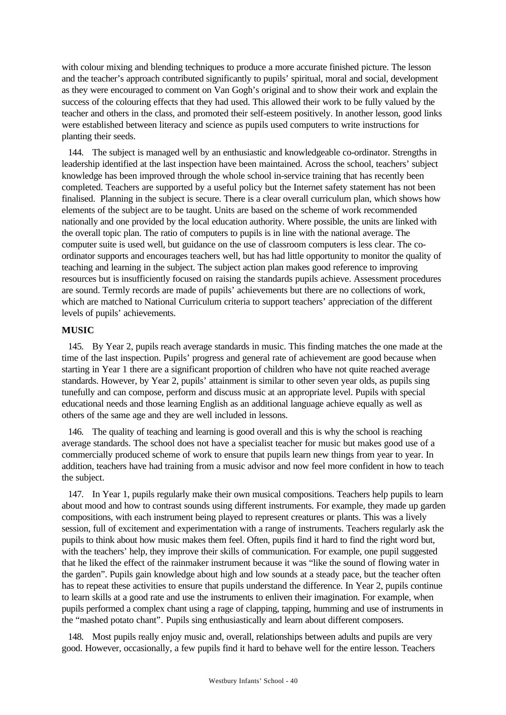with colour mixing and blending techniques to produce a more accurate finished picture. The lesson and the teacher's approach contributed significantly to pupils' spiritual, moral and social, development as they were encouraged to comment on Van Gogh's original and to show their work and explain the success of the colouring effects that they had used. This allowed their work to be fully valued by the teacher and others in the class, and promoted their self-esteem positively. In another lesson, good links were established between literacy and science as pupils used computers to write instructions for planting their seeds.

144. The subject is managed well by an enthusiastic and knowledgeable co-ordinator. Strengths in leadership identified at the last inspection have been maintained. Across the school, teachers' subject knowledge has been improved through the whole school in-service training that has recently been completed. Teachers are supported by a useful policy but the Internet safety statement has not been finalised. Planning in the subject is secure. There is a clear overall curriculum plan, which shows how elements of the subject are to be taught. Units are based on the scheme of work recommended nationally and one provided by the local education authority. Where possible, the units are linked with the overall topic plan. The ratio of computers to pupils is in line with the national average. The computer suite is used well, but guidance on the use of classroom computers is less clear. The coordinator supports and encourages teachers well, but has had little opportunity to monitor the quality of teaching and learning in the subject. The subject action plan makes good reference to improving resources but is insufficiently focused on raising the standards pupils achieve. Assessment procedures are sound. Termly records are made of pupils' achievements but there are no collections of work, which are matched to National Curriculum criteria to support teachers' appreciation of the different levels of pupils' achievements.

#### **MUSIC**

145. By Year 2, pupils reach average standards in music. This finding matches the one made at the time of the last inspection. Pupils' progress and general rate of achievement are good because when starting in Year 1 there are a significant proportion of children who have not quite reached average standards. However, by Year 2, pupils' attainment is similar to other seven year olds, as pupils sing tunefully and can compose, perform and discuss music at an appropriate level. Pupils with special educational needs and those learning English as an additional language achieve equally as well as others of the same age and they are well included in lessons.

146. The quality of teaching and learning is good overall and this is why the school is reaching average standards. The school does not have a specialist teacher for music but makes good use of a commercially produced scheme of work to ensure that pupils learn new things from year to year. In addition, teachers have had training from a music advisor and now feel more confident in how to teach the subject.

147. In Year 1, pupils regularly make their own musical compositions. Teachers help pupils to learn about mood and how to contrast sounds using different instruments. For example, they made up garden compositions, with each instrument being played to represent creatures or plants. This was a lively session, full of excitement and experimentation with a range of instruments. Teachers regularly ask the pupils to think about how music makes them feel. Often, pupils find it hard to find the right word but, with the teachers' help, they improve their skills of communication. For example, one pupil suggested that he liked the effect of the rainmaker instrument because it was "like the sound of flowing water in the garden". Pupils gain knowledge about high and low sounds at a steady pace, but the teacher often has to repeat these activities to ensure that pupils understand the difference. In Year 2, pupils continue to learn skills at a good rate and use the instruments to enliven their imagination. For example, when pupils performed a complex chant using a rage of clapping, tapping, humming and use of instruments in the "mashed potato chant"*.* Pupils sing enthusiastically and learn about different composers.

148. Most pupils really enjoy music and, overall, relationships between adults and pupils are very good. However, occasionally, a few pupils find it hard to behave well for the entire lesson. Teachers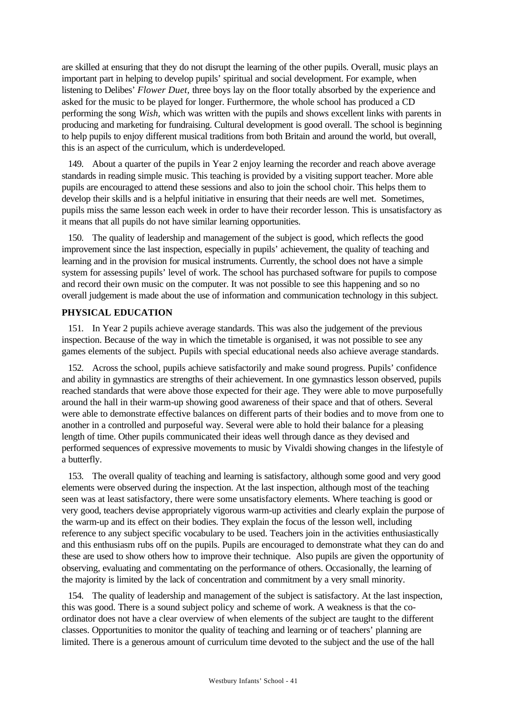are skilled at ensuring that they do not disrupt the learning of the other pupils. Overall, music plays an important part in helping to develop pupils' spiritual and social development. For example, when listening to Delibes' *Flower Duet,* three boys lay on the floor totally absorbed by the experience and asked for the music to be played for longer. Furthermore, the whole school has produced a CD performing the song *Wish,* which was written with the pupils and shows excellent links with parents in producing and marketing for fundraising. Cultural development is good overall. The school is beginning to help pupils to enjoy different musical traditions from both Britain and around the world, but overall, this is an aspect of the curriculum, which is underdeveloped.

149. About a quarter of the pupils in Year 2 enjoy learning the recorder and reach above average standards in reading simple music. This teaching is provided by a visiting support teacher. More able pupils are encouraged to attend these sessions and also to join the school choir. This helps them to develop their skills and is a helpful initiative in ensuring that their needs are well met. Sometimes, pupils miss the same lesson each week in order to have their recorder lesson. This is unsatisfactory as it means that all pupils do not have similar learning opportunities.

150. The quality of leadership and management of the subject is good, which reflects the good improvement since the last inspection, especially in pupils' achievement, the quality of teaching and learning and in the provision for musical instruments. Currently, the school does not have a simple system for assessing pupils' level of work. The school has purchased software for pupils to compose and record their own music on the computer. It was not possible to see this happening and so no overall judgement is made about the use of information and communication technology in this subject.

#### **PHYSICAL EDUCATION**

151. In Year 2 pupils achieve average standards. This was also the judgement of the previous inspection. Because of the way in which the timetable is organised, it was not possible to see any games elements of the subject. Pupils with special educational needs also achieve average standards.

152. Across the school, pupils achieve satisfactorily and make sound progress. Pupils' confidence and ability in gymnastics are strengths of their achievement. In one gymnastics lesson observed, pupils reached standards that were above those expected for their age. They were able to move purposefully around the hall in their warm-up showing good awareness of their space and that of others. Several were able to demonstrate effective balances on different parts of their bodies and to move from one to another in a controlled and purposeful way. Several were able to hold their balance for a pleasing length of time. Other pupils communicated their ideas well through dance as they devised and performed sequences of expressive movements to music by Vivaldi showing changes in the lifestyle of a butterfly.

153. The overall quality of teaching and learning is satisfactory, although some good and very good elements were observed during the inspection. At the last inspection, although most of the teaching seen was at least satisfactory, there were some unsatisfactory elements. Where teaching is good or very good, teachers devise appropriately vigorous warm-up activities and clearly explain the purpose of the warm-up and its effect on their bodies. They explain the focus of the lesson well, including reference to any subject specific vocabulary to be used. Teachers join in the activities enthusiastically and this enthusiasm rubs off on the pupils. Pupils are encouraged to demonstrate what they can do and these are used to show others how to improve their technique. Also pupils are given the opportunity of observing, evaluating and commentating on the performance of others. Occasionally, the learning of the majority is limited by the lack of concentration and commitment by a very small minority.

154. The quality of leadership and management of the subject is satisfactory. At the last inspection, this was good. There is a sound subject policy and scheme of work. A weakness is that the coordinator does not have a clear overview of when elements of the subject are taught to the different classes. Opportunities to monitor the quality of teaching and learning or of teachers' planning are limited. There is a generous amount of curriculum time devoted to the subject and the use of the hall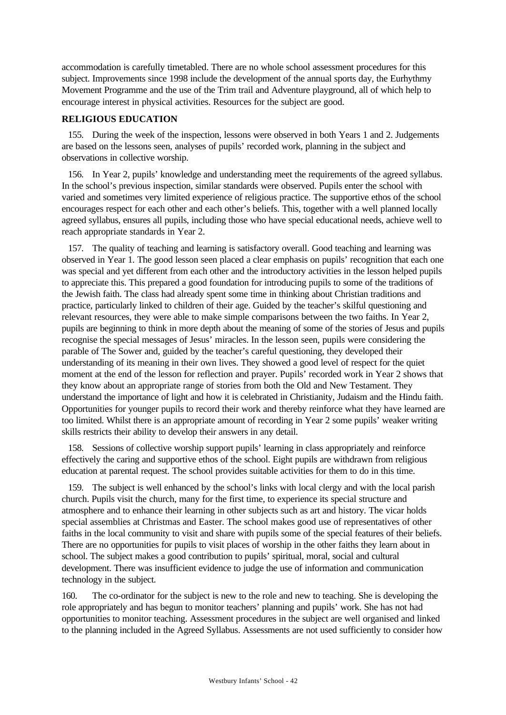accommodation is carefully timetabled. There are no whole school assessment procedures for this subject. Improvements since 1998 include the development of the annual sports day, the Eurhythmy Movement Programme and the use of the Trim trail and Adventure playground, all of which help to encourage interest in physical activities. Resources for the subject are good.

#### **RELIGIOUS EDUCATION**

155. During the week of the inspection, lessons were observed in both Years 1 and 2. Judgements are based on the lessons seen, analyses of pupils' recorded work, planning in the subject and observations in collective worship.

156. In Year 2, pupils' knowledge and understanding meet the requirements of the agreed syllabus. In the school's previous inspection, similar standards were observed. Pupils enter the school with varied and sometimes very limited experience of religious practice. The supportive ethos of the school encourages respect for each other and each other's beliefs. This, together with a well planned locally agreed syllabus, ensures all pupils, including those who have special educational needs, achieve well to reach appropriate standards in Year 2.

157. The quality of teaching and learning is satisfactory overall. Good teaching and learning was observed in Year 1. The good lesson seen placed a clear emphasis on pupils' recognition that each one was special and yet different from each other and the introductory activities in the lesson helped pupils to appreciate this. This prepared a good foundation for introducing pupils to some of the traditions of the Jewish faith. The class had already spent some time in thinking about Christian traditions and practice, particularly linked to children of their age. Guided by the teacher's skilful questioning and relevant resources, they were able to make simple comparisons between the two faiths. In Year 2, pupils are beginning to think in more depth about the meaning of some of the stories of Jesus and pupils recognise the special messages of Jesus' miracles. In the lesson seen, pupils were considering the parable of The Sower and, guided by the teacher's careful questioning, they developed their understanding of its meaning in their own lives. They showed a good level of respect for the quiet moment at the end of the lesson for reflection and prayer. Pupils' recorded work in Year 2 shows that they know about an appropriate range of stories from both the Old and New Testament. They understand the importance of light and how it is celebrated in Christianity, Judaism and the Hindu faith. Opportunities for younger pupils to record their work and thereby reinforce what they have learned are too limited. Whilst there is an appropriate amount of recording in Year 2 some pupils' weaker writing skills restricts their ability to develop their answers in any detail.

158. Sessions of collective worship support pupils' learning in class appropriately and reinforce effectively the caring and supportive ethos of the school. Eight pupils are withdrawn from religious education at parental request. The school provides suitable activities for them to do in this time.

159. The subject is well enhanced by the school's links with local clergy and with the local parish church. Pupils visit the church, many for the first time, to experience its special structure and atmosphere and to enhance their learning in other subjects such as art and history. The vicar holds special assemblies at Christmas and Easter. The school makes good use of representatives of other faiths in the local community to visit and share with pupils some of the special features of their beliefs. There are no opportunities for pupils to visit places of worship in the other faiths they learn about in school. The subject makes a good contribution to pupils' spiritual, moral, social and cultural development. There was insufficient evidence to judge the use of information and communication technology in the subject.

160. The co-ordinator for the subject is new to the role and new to teaching. She is developing the role appropriately and has begun to monitor teachers' planning and pupils' work. She has not had opportunities to monitor teaching. Assessment procedures in the subject are well organised and linked to the planning included in the Agreed Syllabus. Assessments are not used sufficiently to consider how